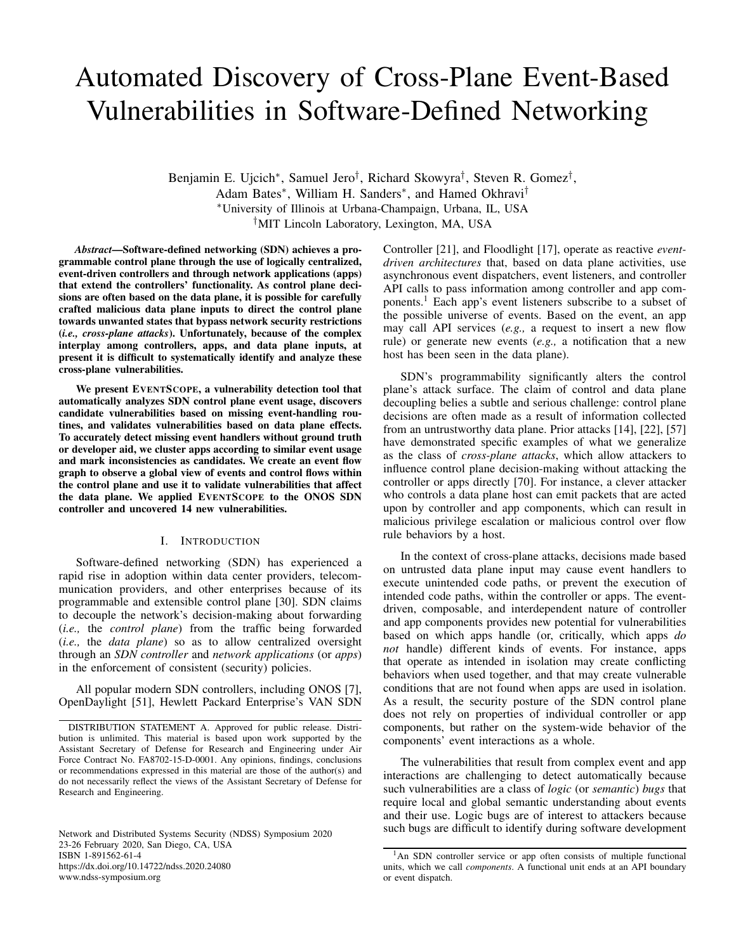# Automated Discovery of Cross-Plane Event-Based Vulnerabilities in Software-Defined Networking

Benjamin E. Ujcich\*, Samuel Jero<sup>†</sup>, Richard Skowyra<sup>†</sup>, Steven R. Gomez<sup>†</sup>, Adam Bates<sup>\*</sup>, William H. Sanders<sup>\*</sup>, and Hamed Okhravi<sup>†</sup> <sup>∗</sup>University of Illinois at Urbana-Champaign, Urbana, IL, USA †MIT Lincoln Laboratory, Lexington, MA, USA

*Abstract*—Software-defined networking (SDN) achieves a programmable control plane through the use of logically centralized, event-driven controllers and through network applications (apps) that extend the controllers' functionality. As control plane decisions are often based on the data plane, it is possible for carefully crafted malicious data plane inputs to direct the control plane towards unwanted states that bypass network security restrictions (*i.e., cross-plane attacks*). Unfortunately, because of the complex interplay among controllers, apps, and data plane inputs, at present it is difficult to systematically identify and analyze these cross-plane vulnerabilities.

We present EVENTSCOPE, a vulnerability detection tool that automatically analyzes SDN control plane event usage, discovers candidate vulnerabilities based on missing event-handling routines, and validates vulnerabilities based on data plane effects. To accurately detect missing event handlers without ground truth or developer aid, we cluster apps according to similar event usage and mark inconsistencies as candidates. We create an event flow graph to observe a global view of events and control flows within the control plane and use it to validate vulnerabilities that affect the data plane. We applied EVENTSCOPE to the ONOS SDN controller and uncovered 14 new vulnerabilities.

# I. INTRODUCTION

Software-defined networking (SDN) has experienced a rapid rise in adoption within data center providers, telecommunication providers, and other enterprises because of its programmable and extensible control plane [30]. SDN claims to decouple the network's decision-making about forwarding (*i.e.,* the *control plane*) from the traffic being forwarded (*i.e.,* the *data plane*) so as to allow centralized oversight through an *SDN controller* and *network applications* (or *apps*) in the enforcement of consistent (security) policies.

All popular modern SDN controllers, including ONOS [7], OpenDaylight [51], Hewlett Packard Enterprise's VAN SDN

Network and Distributed Systems Security (NDSS) Symposium 2020 23-26 February 2020, San Diego, CA, USA ISBN 1-891562-61-4 https://dx.doi.org/10.14722/ndss.2020.24080 www.ndss-symposium.org

Controller [21], and Floodlight [17], operate as reactive *eventdriven architectures* that, based on data plane activities, use asynchronous event dispatchers, event listeners, and controller API calls to pass information among controller and app components.<sup>1</sup> Each app's event listeners subscribe to a subset of the possible universe of events. Based on the event, an app may call API services (*e.g.,* a request to insert a new flow rule) or generate new events (*e.g.,* a notification that a new host has been seen in the data plane).

SDN's programmability significantly alters the control plane's attack surface. The claim of control and data plane decoupling belies a subtle and serious challenge: control plane decisions are often made as a result of information collected from an untrustworthy data plane. Prior attacks [14], [22], [57] have demonstrated specific examples of what we generalize as the class of *cross-plane attacks*, which allow attackers to influence control plane decision-making without attacking the controller or apps directly [70]. For instance, a clever attacker who controls a data plane host can emit packets that are acted upon by controller and app components, which can result in malicious privilege escalation or malicious control over flow rule behaviors by a host.

In the context of cross-plane attacks, decisions made based on untrusted data plane input may cause event handlers to execute unintended code paths, or prevent the execution of intended code paths, within the controller or apps. The eventdriven, composable, and interdependent nature of controller and app components provides new potential for vulnerabilities based on which apps handle (or, critically, which apps *do not* handle) different kinds of events. For instance, apps that operate as intended in isolation may create conflicting behaviors when used together, and that may create vulnerable conditions that are not found when apps are used in isolation. As a result, the security posture of the SDN control plane does not rely on properties of individual controller or app components, but rather on the system-wide behavior of the components' event interactions as a whole.

The vulnerabilities that result from complex event and app interactions are challenging to detect automatically because such vulnerabilities are a class of *logic* (or *semantic*) *bugs* that require local and global semantic understanding about events and their use. Logic bugs are of interest to attackers because such bugs are difficult to identify during software development

DISTRIBUTION STATEMENT A. Approved for public release. Distribution is unlimited. This material is based upon work supported by the Assistant Secretary of Defense for Research and Engineering under Air Force Contract No. FA8702-15-D-0001. Any opinions, findings, conclusions or recommendations expressed in this material are those of the author(s) and do not necessarily reflect the views of the Assistant Secretary of Defense for Research and Engineering.

<sup>&</sup>lt;sup>1</sup>An SDN controller service or app often consists of multiple functional units, which we call *components*. A functional unit ends at an API boundary or event dispatch.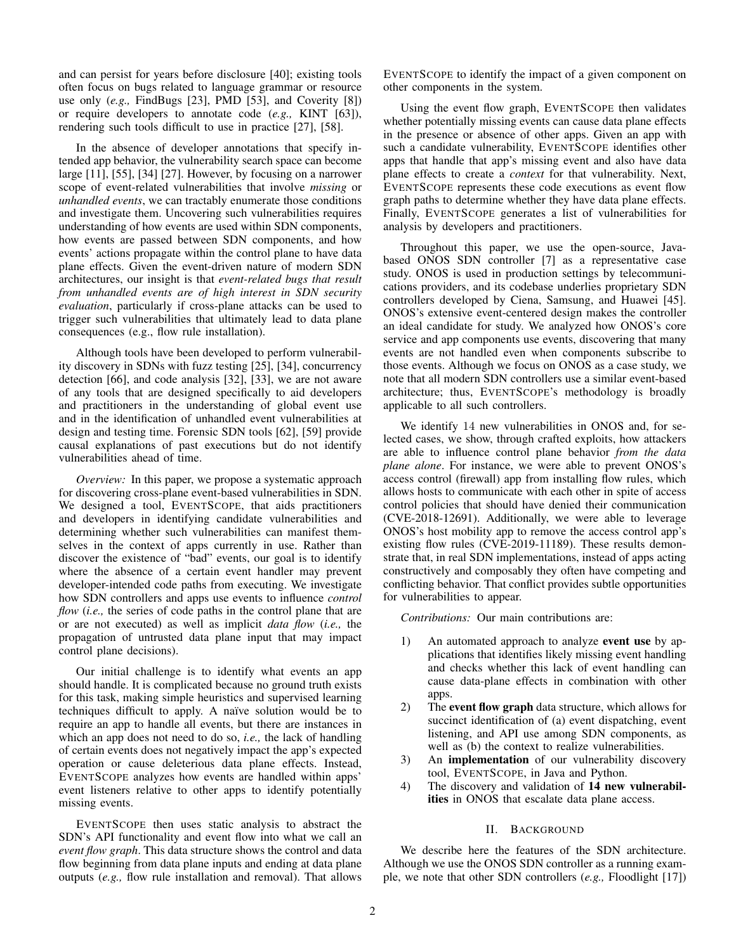and can persist for years before disclosure [40]; existing tools often focus on bugs related to language grammar or resource use only (*e.g.,* FindBugs [23], PMD [53], and Coverity [8]) or require developers to annotate code (*e.g.,* KINT [63]), rendering such tools difficult to use in practice [27], [58].

In the absence of developer annotations that specify intended app behavior, the vulnerability search space can become large [11], [55], [34] [27]. However, by focusing on a narrower scope of event-related vulnerabilities that involve *missing* or *unhandled events*, we can tractably enumerate those conditions and investigate them. Uncovering such vulnerabilities requires understanding of how events are used within SDN components, how events are passed between SDN components, and how events' actions propagate within the control plane to have data plane effects. Given the event-driven nature of modern SDN architectures, our insight is that *event-related bugs that result from unhandled events are of high interest in SDN security evaluation*, particularly if cross-plane attacks can be used to trigger such vulnerabilities that ultimately lead to data plane consequences (e.g., flow rule installation).

Although tools have been developed to perform vulnerability discovery in SDNs with fuzz testing [25], [34], concurrency detection [66], and code analysis [32], [33], we are not aware of any tools that are designed specifically to aid developers and practitioners in the understanding of global event use and in the identification of unhandled event vulnerabilities at design and testing time. Forensic SDN tools [62], [59] provide causal explanations of past executions but do not identify vulnerabilities ahead of time.

*Overview:* In this paper, we propose a systematic approach for discovering cross-plane event-based vulnerabilities in SDN. We designed a tool, EVENTSCOPE, that aids practitioners and developers in identifying candidate vulnerabilities and determining whether such vulnerabilities can manifest themselves in the context of apps currently in use. Rather than discover the existence of "bad" events, our goal is to identify where the absence of a certain event handler may prevent developer-intended code paths from executing. We investigate how SDN controllers and apps use events to influence *control flow* (*i.e.*, the series of code paths in the control plane that are or are not executed) as well as implicit *data flow* (*i.e.,* the propagation of untrusted data plane input that may impact control plane decisions).

Our initial challenge is to identify what events an app should handle. It is complicated because no ground truth exists for this task, making simple heuristics and supervised learning techniques difficult to apply. A naïve solution would be to require an app to handle all events, but there are instances in which an app does not need to do so, *i.e.,* the lack of handling of certain events does not negatively impact the app's expected operation or cause deleterious data plane effects. Instead, EVENTSCOPE analyzes how events are handled within apps' event listeners relative to other apps to identify potentially missing events.

EVENTSCOPE then uses static analysis to abstract the SDN's API functionality and event flow into what we call an *event flow graph*. This data structure shows the control and data flow beginning from data plane inputs and ending at data plane outputs (*e.g.,* flow rule installation and removal). That allows EVENTSCOPE to identify the impact of a given component on other components in the system.

Using the event flow graph, EVENTSCOPE then validates whether potentially missing events can cause data plane effects in the presence or absence of other apps. Given an app with such a candidate vulnerability, EVENTSCOPE identifies other apps that handle that app's missing event and also have data plane effects to create a *context* for that vulnerability. Next, EVENTSCOPE represents these code executions as event flow graph paths to determine whether they have data plane effects. Finally, EVENTSCOPE generates a list of vulnerabilities for analysis by developers and practitioners.

Throughout this paper, we use the open-source, Javabased ONOS SDN controller [7] as a representative case study. ONOS is used in production settings by telecommunications providers, and its codebase underlies proprietary SDN controllers developed by Ciena, Samsung, and Huawei [45]. ONOS's extensive event-centered design makes the controller an ideal candidate for study. We analyzed how ONOS's core service and app components use events, discovering that many events are not handled even when components subscribe to those events. Although we focus on ONOS as a case study, we note that all modern SDN controllers use a similar event-based architecture; thus, EVENTSCOPE's methodology is broadly applicable to all such controllers.

We identify 14 new vulnerabilities in ONOS and, for selected cases, we show, through crafted exploits, how attackers are able to influence control plane behavior *from the data plane alone*. For instance, we were able to prevent ONOS's access control (firewall) app from installing flow rules, which allows hosts to communicate with each other in spite of access control policies that should have denied their communication (CVE-2018-12691). Additionally, we were able to leverage ONOS's host mobility app to remove the access control app's existing flow rules (CVE-2019-11189). These results demonstrate that, in real SDN implementations, instead of apps acting constructively and composably they often have competing and conflicting behavior. That conflict provides subtle opportunities for vulnerabilities to appear.

*Contributions:* Our main contributions are:

- 1) An automated approach to analyze **event use** by applications that identifies likely missing event handling and checks whether this lack of event handling can cause data-plane effects in combination with other apps.
- 2) The event flow graph data structure, which allows for succinct identification of (a) event dispatching, event listening, and API use among SDN components, as well as (b) the context to realize vulnerabilities.
- 3) An implementation of our vulnerability discovery tool, EVENTSCOPE, in Java and Python.
- 4) The discovery and validation of 14 new vulnerabilities in ONOS that escalate data plane access.

# II. BACKGROUND

We describe here the features of the SDN architecture. Although we use the ONOS SDN controller as a running example, we note that other SDN controllers (*e.g.,* Floodlight [17])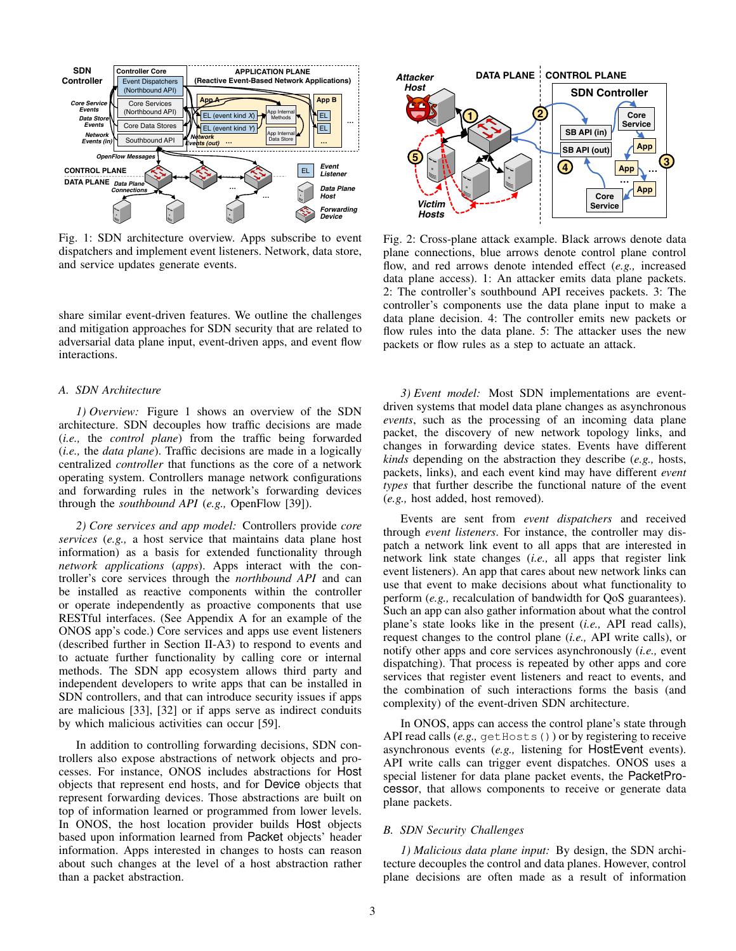

Fig. 1: SDN architecture overview. Apps subscribe to event dispatchers and implement event listeners. Network, data store, and service updates generate events.

share similar event-driven features. We outline the challenges and mitigation approaches for SDN security that are related to adversarial data plane input, event-driven apps, and event flow interactions.

# *A. SDN Architecture*

*1) Overview:* Figure 1 shows an overview of the SDN architecture. SDN decouples how traffic decisions are made (*i.e.,* the *control plane*) from the traffic being forwarded (*i.e.,* the *data plane*). Traffic decisions are made in a logically centralized *controller* that functions as the core of a network operating system. Controllers manage network configurations and forwarding rules in the network's forwarding devices through the *southbound API* (*e.g.,* OpenFlow [39]).

*2) Core services and app model:* Controllers provide *core services* (*e.g.,* a host service that maintains data plane host information) as a basis for extended functionality through *network applications* (*apps*). Apps interact with the controller's core services through the *northbound API* and can be installed as reactive components within the controller or operate independently as proactive components that use RESTful interfaces. (See Appendix A for an example of the ONOS app's code.) Core services and apps use event listeners (described further in Section II-A3) to respond to events and to actuate further functionality by calling core or internal methods. The SDN app ecosystem allows third party and independent developers to write apps that can be installed in SDN controllers, and that can introduce security issues if apps are malicious [33], [32] or if apps serve as indirect conduits by which malicious activities can occur [59].

In addition to controlling forwarding decisions, SDN controllers also expose abstractions of network objects and processes. For instance, ONOS includes abstractions for Host objects that represent end hosts, and for Device objects that represent forwarding devices. Those abstractions are built on top of information learned or programmed from lower levels. In ONOS, the host location provider builds Host objects based upon information learned from Packet objects' header information. Apps interested in changes to hosts can reason about such changes at the level of a host abstraction rather than a packet abstraction.



Fig. 2: Cross-plane attack example. Black arrows denote data plane connections, blue arrows denote control plane control flow, and red arrows denote intended effect (*e.g.,* increased data plane access). 1: An attacker emits data plane packets. 2: The controller's southbound API receives packets. 3: The controller's components use the data plane input to make a data plane decision. 4: The controller emits new packets or flow rules into the data plane. 5: The attacker uses the new packets or flow rules as a step to actuate an attack.

*3) Event model:* Most SDN implementations are eventdriven systems that model data plane changes as asynchronous *events*, such as the processing of an incoming data plane packet, the discovery of new network topology links, and changes in forwarding device states. Events have different *kinds* depending on the abstraction they describe (*e.g.,* hosts, packets, links), and each event kind may have different *event types* that further describe the functional nature of the event (*e.g.,* host added, host removed).

Events are sent from *event dispatchers* and received through *event listeners*. For instance, the controller may dispatch a network link event to all apps that are interested in network link state changes (*i.e.,* all apps that register link event listeners). An app that cares about new network links can use that event to make decisions about what functionality to perform (*e.g.,* recalculation of bandwidth for QoS guarantees). Such an app can also gather information about what the control plane's state looks like in the present (*i.e.,* API read calls), request changes to the control plane (*i.e.,* API write calls), or notify other apps and core services asynchronously (*i.e.,* event dispatching). That process is repeated by other apps and core services that register event listeners and react to events, and the combination of such interactions forms the basis (and complexity) of the event-driven SDN architecture.

In ONOS, apps can access the control plane's state through API read calls (*e.g.*, getHosts()) or by registering to receive asynchronous events (*e.g.,* listening for HostEvent events). API write calls can trigger event dispatches. ONOS uses a special listener for data plane packet events, the PacketProcessor, that allows components to receive or generate data plane packets.

#### *B. SDN Security Challenges*

*1) Malicious data plane input:* By design, the SDN architecture decouples the control and data planes. However, control plane decisions are often made as a result of information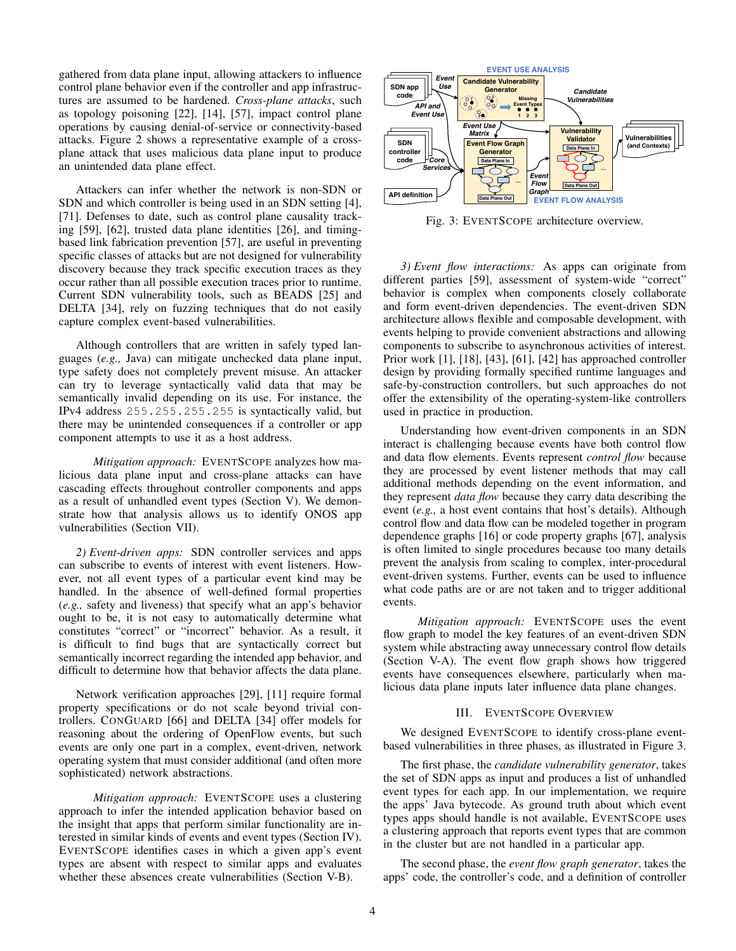gathered from data plane input, allowing attackers to influence control plane behavior even if the controller and app infrastructures are assumed to be hardened. *Cross-plane attacks*, such as topology poisoning [22], [14], [57], impact control plane operations by causing denial-of-service or connectivity-based attacks. Figure 2 shows a representative example of a crossplane attack that uses malicious data plane input to produce an unintended data plane effect.

Attackers can infer whether the network is non-SDN or SDN and which controller is being used in an SDN setting [4], [71]. Defenses to date, such as control plane causality tracking [59], [62], trusted data plane identities [26], and timingbased link fabrication prevention [57], are useful in preventing specific classes of attacks but are not designed for vulnerability discovery because they track specific execution traces as they occur rather than all possible execution traces prior to runtime. Current SDN vulnerability tools, such as BEADS [25] and DELTA [34], rely on fuzzing techniques that do not easily capture complex event-based vulnerabilities.

Although controllers that are written in safely typed languages (*e.g.,* Java) can mitigate unchecked data plane input, type safety does not completely prevent misuse. An attacker can try to leverage syntactically valid data that may be semantically invalid depending on its use. For instance, the IPv4 address 255.255.255.255 is syntactically valid, but there may be unintended consequences if a controller or app component attempts to use it as a host address.

*Mitigation approach:* EVENTSCOPE analyzes how malicious data plane input and cross-plane attacks can have cascading effects throughout controller components and apps as a result of unhandled event types (Section V). We demonstrate how that analysis allows us to identify ONOS app vulnerabilities (Section VII).

*2) Event-driven apps:* SDN controller services and apps can subscribe to events of interest with event listeners. However, not all event types of a particular event kind may be handled. In the absence of well-defined formal properties (*e.g.,* safety and liveness) that specify what an app's behavior ought to be, it is not easy to automatically determine what constitutes "correct" or "incorrect" behavior. As a result, it is difficult to find bugs that are syntactically correct but semantically incorrect regarding the intended app behavior, and difficult to determine how that behavior affects the data plane.

Network verification approaches [29], [11] require formal property specifications or do not scale beyond trivial controllers. CONGUARD [66] and DELTA [34] offer models for reasoning about the ordering of OpenFlow events, but such events are only one part in a complex, event-driven, network operating system that must consider additional (and often more sophisticated) network abstractions.

*Mitigation approach:* EVENTSCOPE uses a clustering approach to infer the intended application behavior based on the insight that apps that perform similar functionality are interested in similar kinds of events and event types (Section IV). EVENTSCOPE identifies cases in which a given app's event types are absent with respect to similar apps and evaluates whether these absences create vulnerabilities (Section V-B).



Fig. 3: EVENTSCOPE architecture overview.

*3) Event flow interactions:* As apps can originate from different parties [59], assessment of system-wide "correct" behavior is complex when components closely collaborate and form event-driven dependencies. The event-driven SDN architecture allows flexible and composable development, with events helping to provide convenient abstractions and allowing components to subscribe to asynchronous activities of interest. Prior work [1], [18], [43], [61], [42] has approached controller design by providing formally specified runtime languages and safe-by-construction controllers, but such approaches do not offer the extensibility of the operating-system-like controllers used in practice in production.

Understanding how event-driven components in an SDN interact is challenging because events have both control flow and data flow elements. Events represent *control flow* because they are processed by event listener methods that may call additional methods depending on the event information, and they represent *data flow* because they carry data describing the event (*e.g.,* a host event contains that host's details). Although control flow and data flow can be modeled together in program dependence graphs [16] or code property graphs [67], analysis is often limited to single procedures because too many details prevent the analysis from scaling to complex, inter-procedural event-driven systems. Further, events can be used to influence what code paths are or are not taken and to trigger additional events.

*Mitigation approach:* EVENTSCOPE uses the event flow graph to model the key features of an event-driven SDN system while abstracting away unnecessary control flow details (Section V-A). The event flow graph shows how triggered events have consequences elsewhere, particularly when malicious data plane inputs later influence data plane changes.

## III. EVENTSCOPE OVERVIEW

We designed EVENTSCOPE to identify cross-plane eventbased vulnerabilities in three phases, as illustrated in Figure 3.

The first phase, the *candidate vulnerability generator*, takes the set of SDN apps as input and produces a list of unhandled event types for each app. In our implementation, we require the apps' Java bytecode. As ground truth about which event types apps should handle is not available, EVENTSCOPE uses a clustering approach that reports event types that are common in the cluster but are not handled in a particular app.

The second phase, the *event flow graph generator*, takes the apps' code, the controller's code, and a definition of controller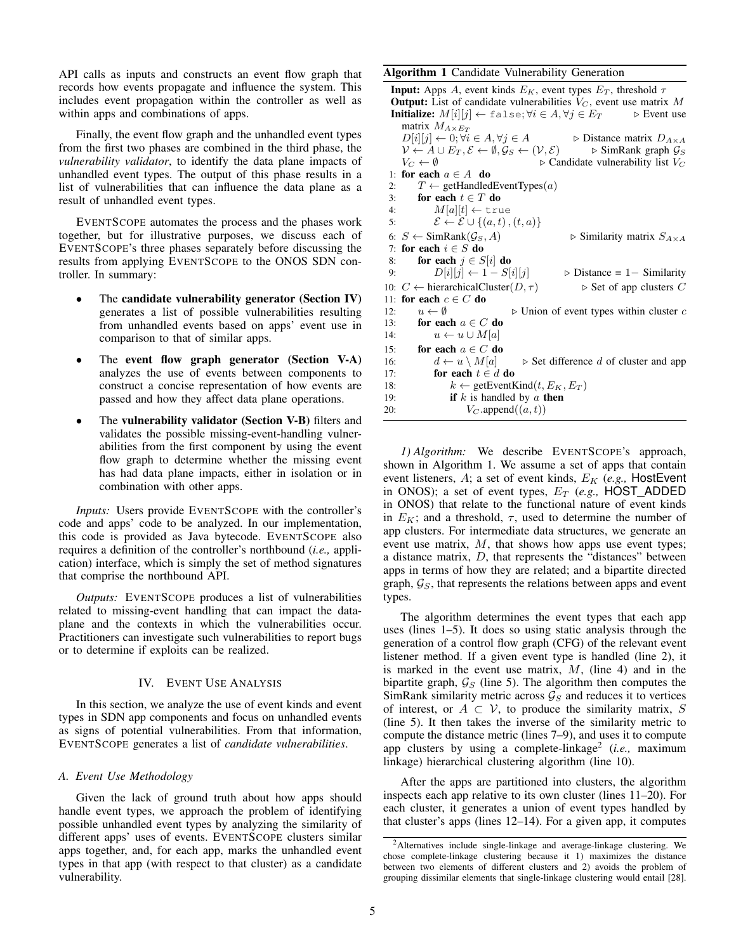API calls as inputs and constructs an event flow graph that records how events propagate and influence the system. This includes event propagation within the controller as well as within apps and combinations of apps.

Finally, the event flow graph and the unhandled event types from the first two phases are combined in the third phase, the *vulnerability validator*, to identify the data plane impacts of unhandled event types. The output of this phase results in a list of vulnerabilities that can influence the data plane as a result of unhandled event types.

EVENTSCOPE automates the process and the phases work together, but for illustrative purposes, we discuss each of EVENTSCOPE's three phases separately before discussing the results from applying EVENTSCOPE to the ONOS SDN controller. In summary:

- The candidate vulnerability generator (Section IV) generates a list of possible vulnerabilities resulting from unhandled events based on apps' event use in comparison to that of similar apps.
- The event flow graph generator (Section V-A) analyzes the use of events between components to construct a concise representation of how events are passed and how they affect data plane operations.
- The vulnerability validator (Section V-B) filters and validates the possible missing-event-handling vulnerabilities from the first component by using the event flow graph to determine whether the missing event has had data plane impacts, either in isolation or in combination with other apps.

*Inputs:* Users provide EVENTSCOPE with the controller's code and apps' code to be analyzed. In our implementation, this code is provided as Java bytecode. EVENTSCOPE also requires a definition of the controller's northbound (*i.e.,* application) interface, which is simply the set of method signatures that comprise the northbound API.

*Outputs:* EVENTSCOPE produces a list of vulnerabilities related to missing-event handling that can impact the dataplane and the contexts in which the vulnerabilities occur. Practitioners can investigate such vulnerabilities to report bugs or to determine if exploits can be realized.

## IV. EVENT USE ANALYSIS

In this section, we analyze the use of event kinds and event types in SDN app components and focus on unhandled events as signs of potential vulnerabilities. From that information, EVENTSCOPE generates a list of *candidate vulnerabilities*.

## *A. Event Use Methodology*

Given the lack of ground truth about how apps should handle event types, we approach the problem of identifying possible unhandled event types by analyzing the similarity of different apps' uses of events. EVENTSCOPE clusters similar apps together, and, for each app, marks the unhandled event types in that app (with respect to that cluster) as a candidate vulnerability.

# Algorithm 1 Candidate Vulnerability Generation

**Input:** Apps A, event kinds  $E_K$ , event types  $E_T$ , threshold  $\tau$ **Output:** List of candidate vulnerabilities  $V_C$ , event use matrix M **Initialize:**  $M[i][j] \leftarrow \text{false}; \forall i \in A, \forall j \in E_T$   $\triangleright$  Event use matrix  $M_{A\times E_T}$  $D[i][j] \leftarrow 0; \forall i \in A, \forall j \in A$   $\triangleright$  Distance matrix  $D_{A \times A}$  $V \leftarrow A \cup E_T, \mathcal{E} \leftarrow \emptyset, \mathcal{G}_S \leftarrow (\mathcal{V}, \mathcal{E})$  .  $\triangleright$  SimRank graph  $\mathcal{G}_S$  $V_C \leftarrow \emptyset$   $\triangleright$  Candidate vulnerability list  $V_C$ 1: for each  $a \in A$  do 2:  $T \leftarrow$  getHandledEventTypes(*a*) 3: for each  $t \in T$  do 4:  $M[a][t] \leftarrow \text{true}$ 5:  $\mathcal{E} \leftarrow \mathcal{E} \cup \{(a, t), (t, a)\}\$ 6:  $S \leftarrow \text{SimRank}(\mathcal{G}_S, A)$   $\triangleright$  Similarity matrix  $S_{A \times A}$ 7: for each  $i \in S$  do 8: for each  $j \in S[i]$  do 9:  $D[i][j] \leftarrow 1 - S[i][j]$   $\triangleright$  Distance = 1– Similarity 10:  $C \leftarrow$  hierarchicalCluster $(D, \tau)$   $\triangleright$  Set of app clusters C 11: for each  $c \in C$  do 12:  $u \leftarrow \emptyset$   $\triangleright$  Union of event types within cluster c 13: for each  $a \in C$  do 14:  $u \leftarrow u \cup M[a]$ 15: for each  $a \in C$  do 16:  $d \leftarrow u \setminus M[a]$  b Set difference d of cluster and app 17: **for each**  $t \in d$  **do** 18:  $k \leftarrow \text{getEventKind}(t, E_K, E_T)$ 19: **if** k is handled by a **then**<br>20:  $V_C$ , append $((a, t))$  $V_C$  append $((a, t))$ 

*1) Algorithm:* We describe EVENTSCOPE's approach, shown in Algorithm 1. We assume a set of apps that contain event listeners, A; a set of event kinds,  $E_K$  (*e.g.*, HostEvent in ONOS); a set of event types,  $E_T$  (e.g., HOST\_ADDED in ONOS) that relate to the functional nature of event kinds in  $E_K$ ; and a threshold,  $\tau$ , used to determine the number of app clusters. For intermediate data structures, we generate an event use matrix,  $M$ , that shows how apps use event types; a distance matrix, D, that represents the "distances" between apps in terms of how they are related; and a bipartite directed graph,  $\mathcal{G}_S$ , that represents the relations between apps and event types.

The algorithm determines the event types that each app uses (lines 1–5). It does so using static analysis through the generation of a control flow graph (CFG) of the relevant event listener method. If a given event type is handled (line 2), it is marked in the event use matrix,  $M$ , (line 4) and in the bipartite graph,  $\mathcal{G}_S$  (line 5). The algorithm then computes the SimRank similarity metric across  $\mathcal{G}_S$  and reduces it to vertices of interest, or  $A \subset V$ , to produce the similarity matrix, S (line 5). It then takes the inverse of the similarity metric to compute the distance metric (lines 7–9), and uses it to compute app clusters by using a complete-linkage<sup>2</sup> (*i.e.*, maximum linkage) hierarchical clustering algorithm (line 10).

After the apps are partitioned into clusters, the algorithm inspects each app relative to its own cluster (lines 11–20). For each cluster, it generates a union of event types handled by that cluster's apps (lines 12–14). For a given app, it computes

<sup>2</sup>Alternatives include single-linkage and average-linkage clustering. We chose complete-linkage clustering because it 1) maximizes the distance between two elements of different clusters and 2) avoids the problem of grouping dissimilar elements that single-linkage clustering would entail [28].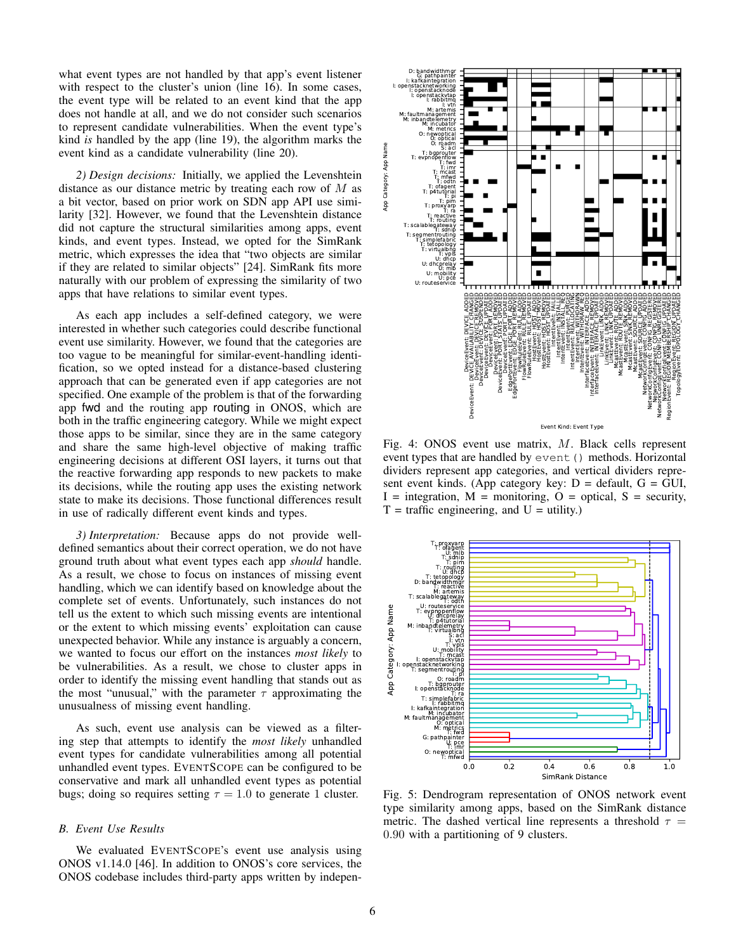what event types are not handled by that app's event listener with respect to the cluster's union (line 16). In some cases, the event type will be related to an event kind that the app does not handle at all, and we do not consider such scenarios to represent candidate vulnerabilities. When the event type's kind *is* handled by the app (line 19), the algorithm marks the event kind as a candidate vulnerability (line 20).

*2) Design decisions:* Initially, we applied the Levenshtein distance as our distance metric by treating each row of  $M$  as a bit vector, based on prior work on SDN app API use similarity [32]. However, we found that the Levenshtein distance did not capture the structural similarities among apps, event kinds, and event types. Instead, we opted for the SimRank metric, which expresses the idea that "two objects are similar if they are related to similar objects" [24]. SimRank fits more naturally with our problem of expressing the similarity of two apps that have relations to similar event types.

As each app includes a self-defined category, we were interested in whether such categories could describe functional event use similarity. However, we found that the categories are too vague to be meaningful for similar-event-handling identification, so we opted instead for a distance-based clustering approach that can be generated even if app categories are not specified. One example of the problem is that of the forwarding app fwd and the routing app routing in ONOS, which are both in the traffic engineering category. While we might expect those apps to be similar, since they are in the same category and share the same high-level objective of making traffic engineering decisions at different OSI layers, it turns out that the reactive forwarding app responds to new packets to make its decisions, while the routing app uses the existing network state to make its decisions. Those functional differences result in use of radically different event kinds and types.

*3) Interpretation:* Because apps do not provide welldefined semantics about their correct operation, we do not have ground truth about what event types each app *should* handle. As a result, we chose to focus on instances of missing event handling, which we can identify based on knowledge about the complete set of events. Unfortunately, such instances do not tell us the extent to which such missing events are intentional or the extent to which missing events' exploitation can cause unexpected behavior. While any instance is arguably a concern, we wanted to focus our effort on the instances *most likely* to be vulnerabilities. As a result, we chose to cluster apps in order to identify the missing event handling that stands out as the most "unusual," with the parameter  $\tau$  approximating the unusualness of missing event handling.

As such, event use analysis can be viewed as a filtering step that attempts to identify the *most likely* unhandled event types for candidate vulnerabilities among all potential unhandled event types. EVENTSCOPE can be configured to be conservative and mark all unhandled event types as potential bugs; doing so requires setting  $\tau = 1.0$  to generate 1 cluster.

#### *B. Event Use Results*

We evaluated EVENTSCOPE's event use analysis using ONOS v1.14.0 [46]. In addition to ONOS's core services, the



Fig. 4: ONOS event use matrix, M. Black cells represent event types that are handled by event () methods. Horizontal dividers represent app categories, and vertical dividers represent event kinds. (App category key:  $D =$  default,  $G =$  GUI,  $I =$  integration,  $M =$  monitoring,  $O =$  optical,  $S =$  security,  $T = \text{ traffic engineering, and } U = \text{utility.}$ 



Fig. 5: Dendrogram representation of ONOS network event type similarity among apps, based on the SimRank distance metric. The dashed vertical line represents a threshold  $\tau =$ 0.90 with a partitioning of 9 clusters.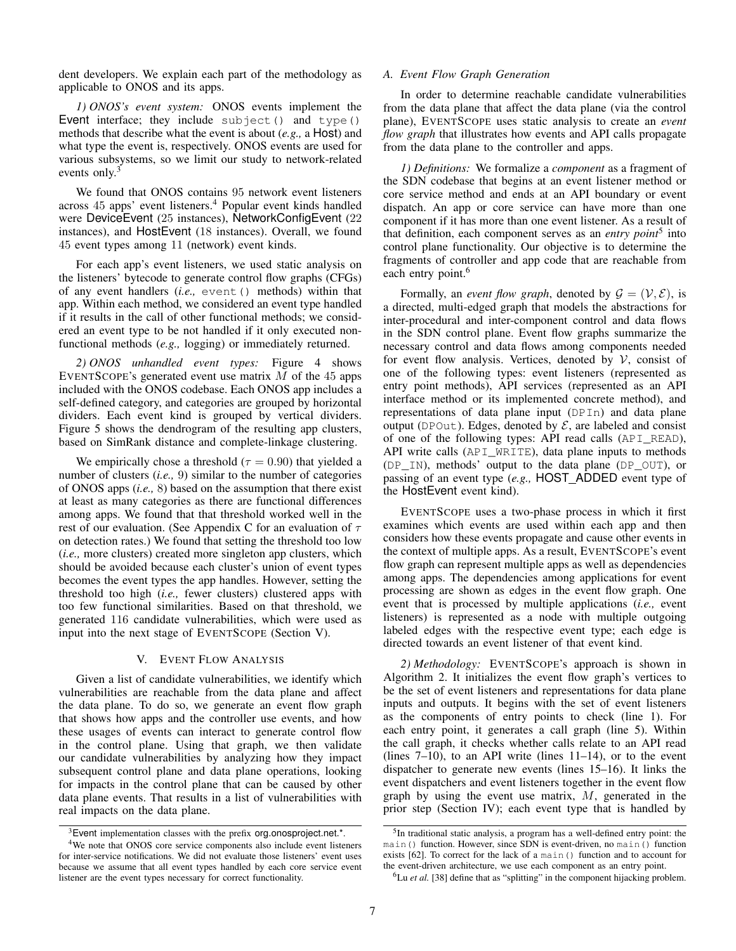dent developers. We explain each part of the methodology as applicable to ONOS and its apps.

*1) ONOS's event system:* ONOS events implement the Event interface; they include subject() and type() methods that describe what the event is about (*e.g.,* a Host) and what type the event is, respectively. ONOS events are used for various subsystems, so we limit our study to network-related events only.<sup>3</sup>

We found that ONOS contains 95 network event listeners across 45 apps' event listeners.<sup>4</sup> Popular event kinds handled were DeviceEvent (25 instances), NetworkConfigEvent (22 instances), and HostEvent (18 instances). Overall, we found 45 event types among 11 (network) event kinds.

For each app's event listeners, we used static analysis on the listeners' bytecode to generate control flow graphs (CFGs) of any event handlers (*i.e.,* event() methods) within that app. Within each method, we considered an event type handled if it results in the call of other functional methods; we considered an event type to be not handled if it only executed nonfunctional methods (*e.g.,* logging) or immediately returned.

*2) ONOS unhandled event types:* Figure 4 shows EVENTSCOPE's generated event use matrix  $M$  of the 45 apps included with the ONOS codebase. Each ONOS app includes a self-defined category, and categories are grouped by horizontal dividers. Each event kind is grouped by vertical dividers. Figure 5 shows the dendrogram of the resulting app clusters, based on SimRank distance and complete-linkage clustering.

We empirically chose a threshold ( $\tau = 0.90$ ) that yielded a number of clusters (*i.e.,* 9) similar to the number of categories of ONOS apps (*i.e.,* 8) based on the assumption that there exist at least as many categories as there are functional differences among apps. We found that that threshold worked well in the rest of our evaluation. (See Appendix C for an evaluation of  $\tau$ on detection rates.) We found that setting the threshold too low (*i.e.,* more clusters) created more singleton app clusters, which should be avoided because each cluster's union of event types becomes the event types the app handles. However, setting the threshold too high (*i.e.,* fewer clusters) clustered apps with too few functional similarities. Based on that threshold, we generated 116 candidate vulnerabilities, which were used as input into the next stage of EVENTSCOPE (Section V).

## V. EVENT FLOW ANALYSIS

Given a list of candidate vulnerabilities, we identify which vulnerabilities are reachable from the data plane and affect the data plane. To do so, we generate an event flow graph that shows how apps and the controller use events, and how these usages of events can interact to generate control flow in the control plane. Using that graph, we then validate our candidate vulnerabilities by analyzing how they impact subsequent control plane and data plane operations, looking for impacts in the control plane that can be caused by other data plane events. That results in a list of vulnerabilities with real impacts on the data plane.

#### *A. Event Flow Graph Generation*

In order to determine reachable candidate vulnerabilities from the data plane that affect the data plane (via the control plane), EVENTSCOPE uses static analysis to create an *event flow graph* that illustrates how events and API calls propagate from the data plane to the controller and apps.

*1) Definitions:* We formalize a *component* as a fragment of the SDN codebase that begins at an event listener method or core service method and ends at an API boundary or event dispatch. An app or core service can have more than one component if it has more than one event listener. As a result of that definition, each component serves as an *entry point*<sup>5</sup> into control plane functionality. Our objective is to determine the fragments of controller and app code that are reachable from each entry point.<sup>6</sup>

Formally, an *event flow graph*, denoted by  $G = (\mathcal{V}, \mathcal{E})$ , is a directed, multi-edged graph that models the abstractions for inter-procedural and inter-component control and data flows in the SDN control plane. Event flow graphs summarize the necessary control and data flows among components needed for event flow analysis. Vertices, denoted by  $V$ , consist of one of the following types: event listeners (represented as entry point methods), API services (represented as an API interface method or its implemented concrete method), and representations of data plane input (DPIn) and data plane output (DPOut). Edges, denoted by  $\mathcal{E}$ , are labeled and consist of one of the following types: API read calls (API\_READ), API write calls (API\_WRITE), data plane inputs to methods (DP\_IN), methods' output to the data plane (DP\_OUT), or passing of an event type (*e.g.,* HOST ADDED event type of the HostEvent event kind).

EVENTSCOPE uses a two-phase process in which it first examines which events are used within each app and then considers how these events propagate and cause other events in the context of multiple apps. As a result, EVENTSCOPE's event flow graph can represent multiple apps as well as dependencies among apps. The dependencies among applications for event processing are shown as edges in the event flow graph. One event that is processed by multiple applications (*i.e.,* event listeners) is represented as a node with multiple outgoing labeled edges with the respective event type; each edge is directed towards an event listener of that event kind.

*2) Methodology:* EVENTSCOPE's approach is shown in Algorithm 2. It initializes the event flow graph's vertices to be the set of event listeners and representations for data plane inputs and outputs. It begins with the set of event listeners as the components of entry points to check (line 1). For each entry point, it generates a call graph (line 5). Within the call graph, it checks whether calls relate to an API read (lines  $7-10$ ), to an API write (lines  $11-14$ ), or to the event dispatcher to generate new events (lines 15–16). It links the event dispatchers and event listeners together in the event flow graph by using the event use matrix,  $M$ , generated in the prior step (Section IV); each event type that is handled by

 $3$  Event implementation classes with the prefix org.onosproject.net.\*.

<sup>4</sup>We note that ONOS core service components also include event listeners for inter-service notifications. We did not evaluate those listeners' event uses because we assume that all event types handled by each core service event listener are the event types necessary for correct functionality.

<sup>&</sup>lt;sup>5</sup>In traditional static analysis, a program has a well-defined entry point: the main() function. However, since SDN is event-driven, no main() function exists [62]. To correct for the lack of a main() function and to account for the event-driven architecture, we use each component as an entry point.

<sup>&</sup>lt;sup>6</sup>Lu *et al.* [38] define that as "splitting" in the component hijacking problem.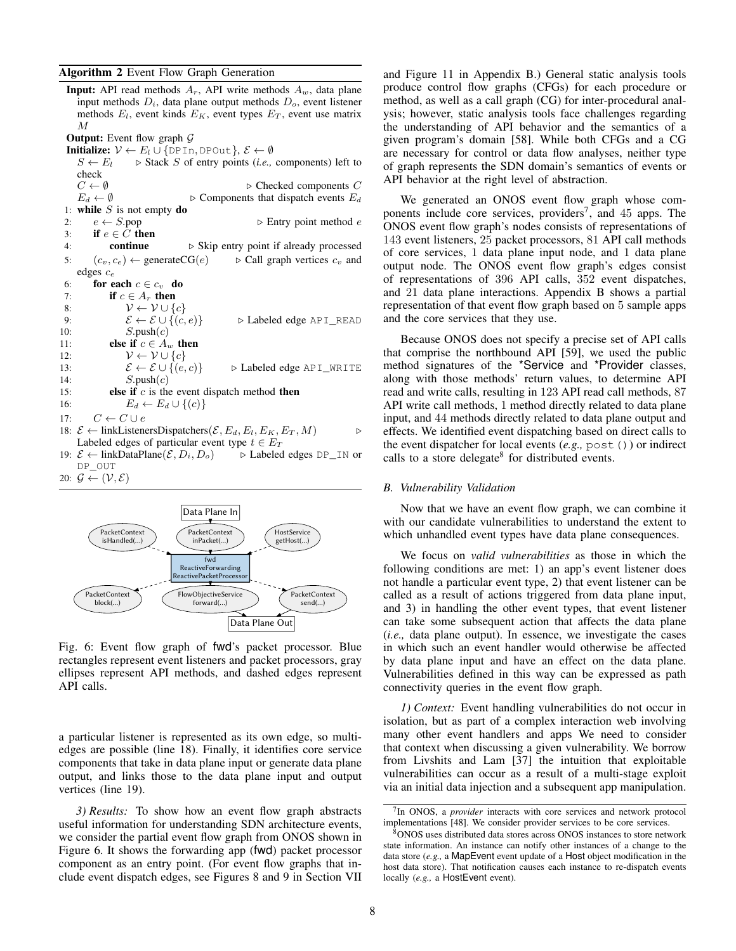#### Algorithm 2 Event Flow Graph Generation

**Input:** API read methods  $A_r$ , API write methods  $A_w$ , data plane input methods  $D_i$ , data plane output methods  $D_o$ , event listener methods  $E_l$ , event kinds  $E_K$ , event types  $E_T$ , event use matrix M **Output:** Event flow graph  $\mathcal{G}$ **Initialize:**  $V \leftarrow E_l \cup \{\text{DPIn}, \text{DPOut}\}, \mathcal{E} \leftarrow \emptyset$  $S \leftarrow E_l$   $\Rightarrow$  Stack S of entry points (*i.e.*, components) left to check<br> $C \leftarrow \emptyset$  $\triangleright$  Checked components  $C$  $E_d \leftarrow \emptyset$   $\triangleright$  Components that dispatch events  $E_d$ 1: while  $S$  is not empty do 2:  $e \leftarrow S.pop$   $\triangleright$  Entry point method e 3: if  $e \in C$  then 4: **continue**  $\triangleright$  Skip entry point if already processed 5:  $(c_v, c_e) \leftarrow$  generateCG(e)  $\rightarrow$  Call graph vertices  $c_v$  and edges  $c_e$ 6: for each  $c \in c_v$  do 7: **if**  $c \in A_r$  then 8:  $\mathcal{V} \leftarrow \mathcal{V} \cup \{c\}$ <br>9:  $\mathcal{E} \leftarrow \mathcal{E} \cup \{(c, e)\}$ 9:  $\mathcal{E} \leftarrow \mathcal{E} \cup \{(c, e)\}$   $\Rightarrow$  Labeled edge API\_READ 10:  $S.\text{push}(c)$ 11: **else if**  $c \in A_w$  then 12:  $V \leftarrow V \cup \{c\}$ <br>13:  $\mathcal{E} \leftarrow \mathcal{E} \cup \{(e, c)\}$ 13:  $\mathcal{E} \leftarrow \mathcal{E} \cup \{(e, c)\}$   $\Rightarrow$  Labeled edge API\_WRITE 14:  $S.\text{push}(c)$ 15: **else if**  $c$  is the event dispatch method **then** 16:  $E_d \leftarrow E_d \cup \{(c)\}$ 17:  $C \leftarrow C \cup e$ 18:  $\mathcal{E}$  ← linkListenersDispatchers $(\mathcal{E}, E_d, E_l, E_K, E_T, M)$   $\triangleright$ 

Labeled edges of particular event type  $t \in E_T$ <br>  $\mathcal{E} \leftarrow$  linkDataPlane $(\mathcal{E}, D_i, D_o)$   $\Rightarrow$  Labeled edges DP\_IN or 19:  $\mathcal{E}$  ← linkDataPlane( $\mathcal{E}, D_i, D_o$ ) DP\_OUT

$$
20: \mathcal{G} \leftarrow (\mathcal{V}, \mathcal{E})
$$



Fig. 6: Event flow graph of fwd's packet processor. Blue rectangles represent event listeners and packet processors, gray ellipses represent API methods, and dashed edges represent API calls.

a particular listener is represented as its own edge, so multiedges are possible (line 18). Finally, it identifies core service components that take in data plane input or generate data plane output, and links those to the data plane input and output vertices (line 19).

*3) Results:* To show how an event flow graph abstracts useful information for understanding SDN architecture events, we consider the partial event flow graph from ONOS shown in Figure 6. It shows the forwarding app (fwd) packet processor component as an entry point. (For event flow graphs that include event dispatch edges, see Figures 8 and 9 in Section VII and Figure 11 in Appendix B.) General static analysis tools produce control flow graphs (CFGs) for each procedure or method, as well as a call graph (CG) for inter-procedural analysis; however, static analysis tools face challenges regarding the understanding of API behavior and the semantics of a given program's domain [58]. While both CFGs and a CG are necessary for control or data flow analyses, neither type of graph represents the SDN domain's semantics of events or API behavior at the right level of abstraction.

We generated an ONOS event flow graph whose components include core services, providers<sup>7</sup>, and 45 apps. The ONOS event flow graph's nodes consists of representations of 143 event listeners, 25 packet processors, 81 API call methods of core services, 1 data plane input node, and 1 data plane output node. The ONOS event flow graph's edges consist of representations of 396 API calls, 352 event dispatches, and 21 data plane interactions. Appendix B shows a partial representation of that event flow graph based on 5 sample apps and the core services that they use.

Because ONOS does not specify a precise set of API calls that comprise the northbound API [59], we used the public method signatures of the \*Service and \*Provider classes, along with those methods' return values, to determine API read and write calls, resulting in 123 API read call methods, 87 API write call methods, 1 method directly related to data plane input, and 44 methods directly related to data plane output and effects. We identified event dispatching based on direct calls to the event dispatcher for local events (*e.g.,* post()) or indirect calls to a store delegate<sup>8</sup> for distributed events.

# *B. Vulnerability Validation*

Now that we have an event flow graph, we can combine it with our candidate vulnerabilities to understand the extent to which unhandled event types have data plane consequences.

We focus on *valid vulnerabilities* as those in which the following conditions are met: 1) an app's event listener does not handle a particular event type, 2) that event listener can be called as a result of actions triggered from data plane input, and 3) in handling the other event types, that event listener can take some subsequent action that affects the data plane (*i.e.,* data plane output). In essence, we investigate the cases in which such an event handler would otherwise be affected by data plane input and have an effect on the data plane. Vulnerabilities defined in this way can be expressed as path connectivity queries in the event flow graph.

*1) Context:* Event handling vulnerabilities do not occur in isolation, but as part of a complex interaction web involving many other event handlers and apps We need to consider that context when discussing a given vulnerability. We borrow from Livshits and Lam [37] the intuition that exploitable vulnerabilities can occur as a result of a multi-stage exploit via an initial data injection and a subsequent app manipulation.

<sup>7</sup> In ONOS, a *provider* interacts with core services and network protocol implementations [48]. We consider provider services to be core services.

<sup>8</sup>ONOS uses distributed data stores across ONOS instances to store network state information. An instance can notify other instances of a change to the data store (*e.g.,* a MapEvent event update of a Host object modification in the host data store). That notification causes each instance to re-dispatch events locally (e.g., a HostEvent event).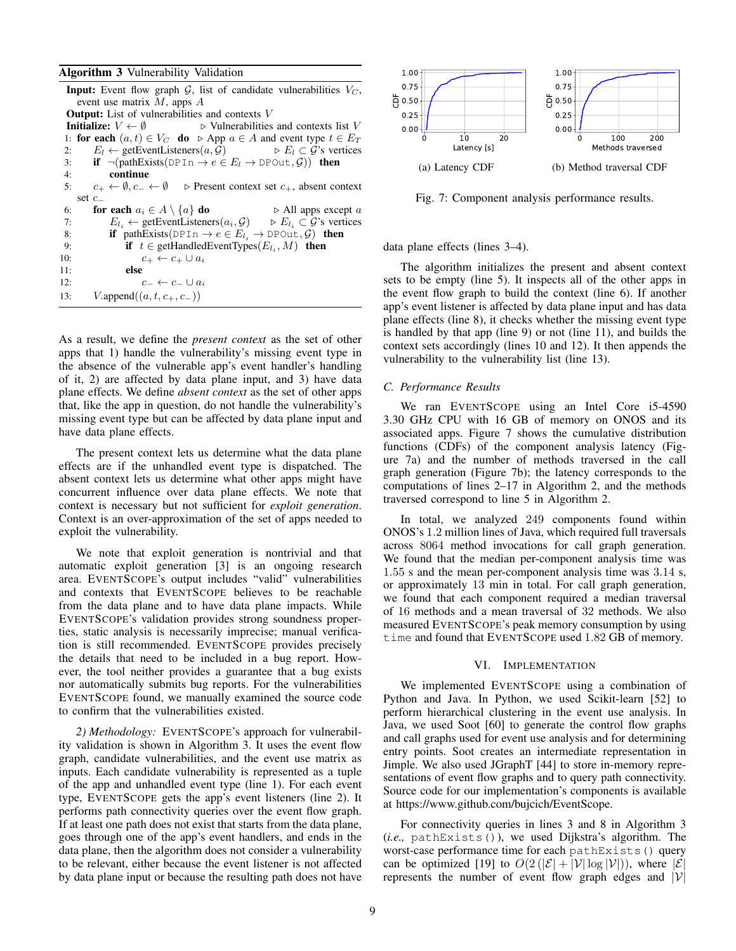## Algorithm 3 Vulnerability Validation

| <b>Input:</b> Event flow graph G, list of candidate vulnerabilities $V_C$ ,                                            |  |  |  |  |  |
|------------------------------------------------------------------------------------------------------------------------|--|--|--|--|--|
| event use matrix $M$ , apps $A$                                                                                        |  |  |  |  |  |
| <b>Output:</b> List of vulnerabilities and contexts $V$                                                                |  |  |  |  |  |
| Initialize: $V \leftarrow \emptyset$<br>$\triangleright$ Vulnerabilities and contexts list V                           |  |  |  |  |  |
| 1: for each $(a, t) \in V_C$ do $\triangleright$ App $a \in A$ and event type $t \in E_T$                              |  |  |  |  |  |
| $E_l \leftarrow$ getEventListeners $(a, \mathcal{G})$ $\Rightarrow$ $E_l \subset \mathcal{G}$ 's vertices<br>2:        |  |  |  |  |  |
| 3: <b>if</b> $\neg$ (pathExists(DPIn $\rightarrow e \in E_l \rightarrow \text{DPOut}, \mathcal{G}$ )) then             |  |  |  |  |  |
| continue<br>4:                                                                                                         |  |  |  |  |  |
| 5: $c_+ \leftarrow \emptyset$ , $c_- \leftarrow \emptyset$ $\triangleright$ Present context set $c_+$ , absent context |  |  |  |  |  |
| set $c_{-}$                                                                                                            |  |  |  |  |  |
| for each $a_i \in A \setminus \{a\}$ do<br>$\triangleright$ All apps except a<br>6:                                    |  |  |  |  |  |
| $E_{l_i} \leftarrow$ getEventListeners $(a_i, \mathcal{G}) \rightarrow E_{l_i} \subset \mathcal{G}$ 's vertices<br>7:  |  |  |  |  |  |
| if pathExists(DPIn $\rightarrow e \in E_{l_i} \rightarrow \text{DPOut}, \mathcal{G}$ ) then<br>8:                      |  |  |  |  |  |
| if $t \in \text{getHandedEventTypes}(E_{l_i}, M)$ then<br>9:                                                           |  |  |  |  |  |
| 10:<br>$c_+ \leftarrow c_+ \cup a_i$                                                                                   |  |  |  |  |  |
| 11:<br>else                                                                                                            |  |  |  |  |  |
| 12:<br>$c_- \leftarrow c_- \cup a_i$                                                                                   |  |  |  |  |  |
| $V.\text{append}((a, t, c_+, c_-))$<br>13:                                                                             |  |  |  |  |  |

As a result, we define the *present context* as the set of other apps that 1) handle the vulnerability's missing event type in the absence of the vulnerable app's event handler's handling of it, 2) are affected by data plane input, and 3) have data plane effects. We define *absent context* as the set of other apps that, like the app in question, do not handle the vulnerability's missing event type but can be affected by data plane input and have data plane effects.

The present context lets us determine what the data plane effects are if the unhandled event type is dispatched. The absent context lets us determine what other apps might have concurrent influence over data plane effects. We note that context is necessary but not sufficient for *exploit generation*. Context is an over-approximation of the set of apps needed to exploit the vulnerability.

We note that exploit generation is nontrivial and that automatic exploit generation [3] is an ongoing research area. EVENTSCOPE's output includes "valid" vulnerabilities and contexts that EVENTSCOPE believes to be reachable from the data plane and to have data plane impacts. While EVENTSCOPE's validation provides strong soundness properties, static analysis is necessarily imprecise; manual verification is still recommended. EVENTSCOPE provides precisely the details that need to be included in a bug report. However, the tool neither provides a guarantee that a bug exists nor automatically submits bug reports. For the vulnerabilities EVENTSCOPE found, we manually examined the source code to confirm that the vulnerabilities existed.

*2) Methodology:* EVENTSCOPE's approach for vulnerability validation is shown in Algorithm 3. It uses the event flow graph, candidate vulnerabilities, and the event use matrix as inputs. Each candidate vulnerability is represented as a tuple of the app and unhandled event type (line 1). For each event type, EVENTSCOPE gets the app's event listeners (line 2). It performs path connectivity queries over the event flow graph. If at least one path does not exist that starts from the data plane, goes through one of the app's event handlers, and ends in the data plane, then the algorithm does not consider a vulnerability to be relevant, either because the event listener is not affected by data plane input or because the resulting path does not have



Fig. 7: Component analysis performance results.

data plane effects (lines 3–4).

The algorithm initializes the present and absent context sets to be empty (line 5). It inspects all of the other apps in the event flow graph to build the context (line 6). If another app's event listener is affected by data plane input and has data plane effects (line 8), it checks whether the missing event type is handled by that app (line 9) or not (line 11), and builds the context sets accordingly (lines 10 and 12). It then appends the vulnerability to the vulnerability list (line 13).

## *C. Performance Results*

We ran EVENTSCOPE using an Intel Core i5-4590 3.30 GHz CPU with 16 GB of memory on ONOS and its associated apps. Figure 7 shows the cumulative distribution functions (CDFs) of the component analysis latency (Figure 7a) and the number of methods traversed in the call graph generation (Figure 7b); the latency corresponds to the computations of lines 2–17 in Algorithm 2, and the methods traversed correspond to line 5 in Algorithm 2.

In total, we analyzed 249 components found within ONOS's 1.2 million lines of Java, which required full traversals across 8064 method invocations for call graph generation. We found that the median per-component analysis time was 1.55 s and the mean per-component analysis time was 3.14 s, or approximately 13 min in total. For call graph generation, we found that each component required a median traversal of 16 methods and a mean traversal of 32 methods. We also measured EVENTSCOPE's peak memory consumption by using time and found that EVENTSCOPE used 1.82 GB of memory.

#### VI. IMPLEMENTATION

We implemented EVENTSCOPE using a combination of Python and Java. In Python, we used Scikit-learn [52] to perform hierarchical clustering in the event use analysis. In Java, we used Soot [60] to generate the control flow graphs and call graphs used for event use analysis and for determining entry points. Soot creates an intermediate representation in Jimple. We also used JGraphT [44] to store in-memory representations of event flow graphs and to query path connectivity. Source code for our implementation's components is available at https://www.github.com/bujcich/EventScope.

For connectivity queries in lines 3 and 8 in Algorithm 3 (*i.e.,* pathExists()), we used Dijkstra's algorithm. The worst-case performance time for each pathExists() query can be optimized [19] to  $O(2(|\mathcal{E}|+|\mathcal{V}| \log |\mathcal{V}|))$ , where  $|\mathcal{E}|$ represents the number of event flow graph edges and  $|V|$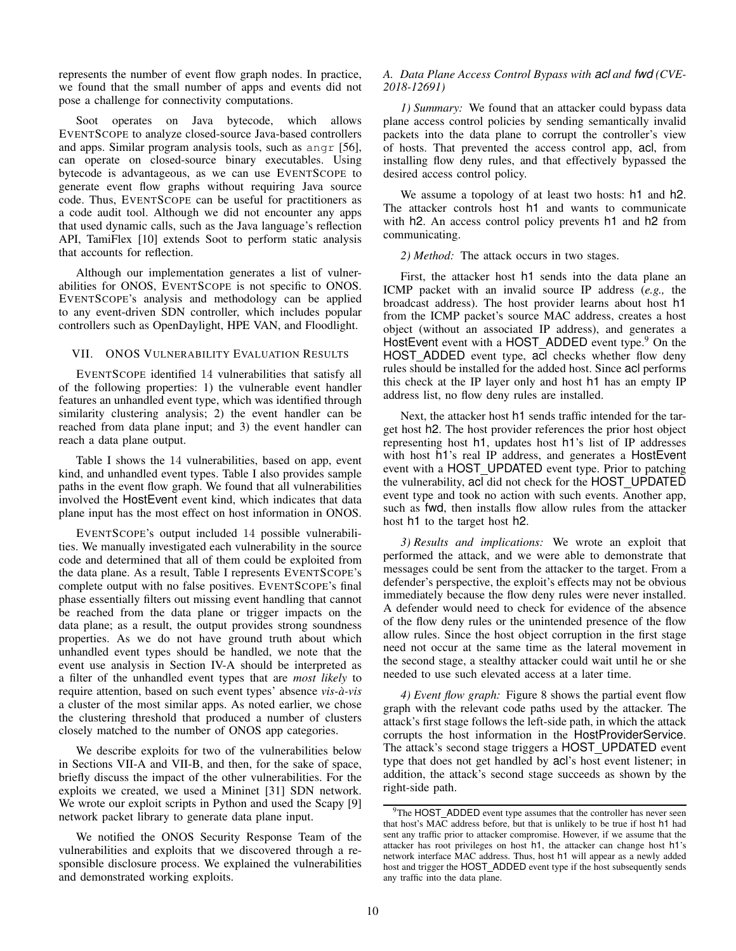represents the number of event flow graph nodes. In practice, we found that the small number of apps and events did not pose a challenge for connectivity computations.

Soot operates on Java bytecode, which allows EVENTSCOPE to analyze closed-source Java-based controllers and apps. Similar program analysis tools, such as angr [56], can operate on closed-source binary executables. Using bytecode is advantageous, as we can use EVENTSCOPE to generate event flow graphs without requiring Java source code. Thus, EVENTSCOPE can be useful for practitioners as a code audit tool. Although we did not encounter any apps that used dynamic calls, such as the Java language's reflection API, TamiFlex [10] extends Soot to perform static analysis that accounts for reflection.

Although our implementation generates a list of vulnerabilities for ONOS, EVENTSCOPE is not specific to ONOS. EVENTSCOPE's analysis and methodology can be applied to any event-driven SDN controller, which includes popular controllers such as OpenDaylight, HPE VAN, and Floodlight.

## VII. ONOS VULNERABILITY EVALUATION RESULTS

EVENTSCOPE identified 14 vulnerabilities that satisfy all of the following properties: 1) the vulnerable event handler features an unhandled event type, which was identified through similarity clustering analysis; 2) the event handler can be reached from data plane input; and 3) the event handler can reach a data plane output.

Table I shows the 14 vulnerabilities, based on app, event kind, and unhandled event types. Table I also provides sample paths in the event flow graph. We found that all vulnerabilities involved the HostEvent event kind, which indicates that data plane input has the most effect on host information in ONOS.

EVENTSCOPE's output included 14 possible vulnerabilities. We manually investigated each vulnerability in the source code and determined that all of them could be exploited from the data plane. As a result, Table I represents EVENTSCOPE's complete output with no false positives. EVENTSCOPE's final phase essentially filters out missing event handling that cannot be reached from the data plane or trigger impacts on the data plane; as a result, the output provides strong soundness properties. As we do not have ground truth about which unhandled event types should be handled, we note that the event use analysis in Section IV-A should be interpreted as a filter of the unhandled event types that are *most likely* to require attention, based on such event types' absence *vis-a-vis `* a cluster of the most similar apps. As noted earlier, we chose the clustering threshold that produced a number of clusters closely matched to the number of ONOS app categories.

We describe exploits for two of the vulnerabilities below in Sections VII-A and VII-B, and then, for the sake of space, briefly discuss the impact of the other vulnerabilities. For the exploits we created, we used a Mininet [31] SDN network. We wrote our exploit scripts in Python and used the Scapy [9] network packet library to generate data plane input.

We notified the ONOS Security Response Team of the vulnerabilities and exploits that we discovered through a responsible disclosure process. We explained the vulnerabilities and demonstrated working exploits.

## *A. Data Plane Access Control Bypass with acl and fwd (CVE-2018-12691)*

*1) Summary:* We found that an attacker could bypass data plane access control policies by sending semantically invalid packets into the data plane to corrupt the controller's view of hosts. That prevented the access control app, acl, from installing flow deny rules, and that effectively bypassed the desired access control policy.

We assume a topology of at least two hosts: h<sub>1</sub> and h<sub>2</sub>. The attacker controls host h1 and wants to communicate with h2. An access control policy prevents h1 and h2 from communicating.

## *2) Method:* The attack occurs in two stages.

First, the attacker host h1 sends into the data plane an ICMP packet with an invalid source IP address (*e.g.,* the broadcast address). The host provider learns about host h1 from the ICMP packet's source MAC address, creates a host object (without an associated IP address), and generates a HostEvent event with a HOST\_ADDED event type.<sup>9</sup> On the HOST ADDED event type, acl checks whether flow deny rules should be installed for the added host. Since acl performs this check at the IP layer only and host h1 has an empty IP address list, no flow deny rules are installed.

Next, the attacker host h1 sends traffic intended for the target host h2. The host provider references the prior host object representing host h1, updates host h1's list of IP addresses with host h1's real IP address, and generates a HostEvent event with a HOST UPDATED event type. Prior to patching the vulnerability, acl did not check for the HOST UPDATED event type and took no action with such events. Another app, such as fwd, then installs flow allow rules from the attacker host h1 to the target host h2.

*3) Results and implications:* We wrote an exploit that performed the attack, and we were able to demonstrate that messages could be sent from the attacker to the target. From a defender's perspective, the exploit's effects may not be obvious immediately because the flow deny rules were never installed. A defender would need to check for evidence of the absence of the flow deny rules or the unintended presence of the flow allow rules. Since the host object corruption in the first stage need not occur at the same time as the lateral movement in the second stage, a stealthy attacker could wait until he or she needed to use such elevated access at a later time.

*4) Event flow graph:* Figure 8 shows the partial event flow graph with the relevant code paths used by the attacker. The attack's first stage follows the left-side path, in which the attack corrupts the host information in the HostProviderService. The attack's second stage triggers a HOST UPDATED event type that does not get handled by acl's host event listener; in addition, the attack's second stage succeeds as shown by the right-side path.

<sup>&</sup>lt;sup>9</sup>The HOST\_ADDED event type assumes that the controller has never seen that host's MAC address before, but that is unlikely to be true if host h1 had sent any traffic prior to attacker compromise. However, if we assume that the attacker has root privileges on host h1, the attacker can change host h1's network interface MAC address. Thus, host h1 will appear as a newly added host and trigger the HOST\_ADDED event type if the host subsequently sends any traffic into the data plane.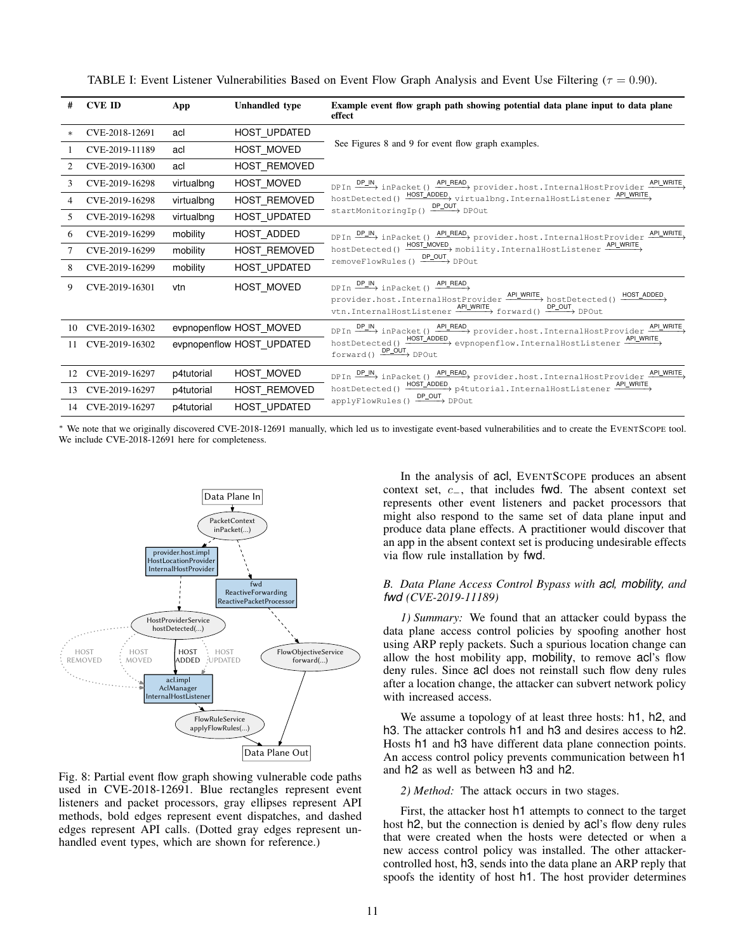| #      | <b>CVE ID</b>     | App                                                  | <b>Unhandled</b> type | Example event flow graph path showing potential data plane input to data plane<br>effect                                                                                                                                                                                                  |  |
|--------|-------------------|------------------------------------------------------|-----------------------|-------------------------------------------------------------------------------------------------------------------------------------------------------------------------------------------------------------------------------------------------------------------------------------------|--|
| $\ast$ | CVE-2018-12691    | acl                                                  | HOST_UPDATED          | See Figures 8 and 9 for event flow graph examples.                                                                                                                                                                                                                                        |  |
|        | CVE-2019-11189    | acl                                                  | HOST MOVED            |                                                                                                                                                                                                                                                                                           |  |
| 2      | CVE-2019-16300    | acl                                                  | HOST REMOVED          |                                                                                                                                                                                                                                                                                           |  |
| 3      | CVE-2019-16298    | virtualbng                                           | HOST MOVED            | DPIn $\frac{\text{DP}\_}{\text{NP}}$ inPacket () $\frac{\text{AP}\_ \text{READ}}{\text{NP}}$ provider.host.InternalHostProvider $\frac{\text{AP}\_ \text{WRITE}}{\text{NP}}$<br>hostDetected() HOST_ADDED virtualbng. InternalHostListener APL_WRITE<br>startMonitoringIp() DP_OUT DPOut  |  |
| 4      | CVE-2019-16298    | virtualbng                                           | HOST REMOVED          |                                                                                                                                                                                                                                                                                           |  |
| 5      | CVE-2019-16298    | virtualbng                                           | <b>HOST UPDATED</b>   |                                                                                                                                                                                                                                                                                           |  |
| 6      | CVE-2019-16299    | mobility                                             | HOST ADDED            | DPIn $\frac{\text{DP}\_N}{\text{DP}\_N}$ inPacket () $\frac{\text{AP}\_R\text{EAD}}{\text{P}\_N}$ provider.host.InternalHostProvider $\frac{\text{AP}\_N\text{RITE}}{\text{P}\_N}$<br>hostDetected() HOST_MOVED mobility.InternalHostListener API_WRITE<br>removeFlowRules() DP_OUT DPOut |  |
|        | CVE-2019-16299    | mobility                                             | HOST REMOVED          |                                                                                                                                                                                                                                                                                           |  |
| 8      | CVE-2019-16299    | mobility                                             | HOST_UPDATED          |                                                                                                                                                                                                                                                                                           |  |
| 9      | CVE-2019-16301    | vtn                                                  | HOST MOVED            | $DPIn \xrightarrow{DP=N} inPacket() \xrightarrow{APLREAD}$<br>provider.host.InternalHostProvider $\xrightarrow{AP\perp WRITE}$ hostDetected() $\xrightarrow{HOST\_ADDED}$<br>vtn.InternalHostListener $\xrightarrow{APLWRITE}$ forward() $\xrightarrow{DP\_OUT}$ DPOut                    |  |
|        | 10 CVE-2019-16302 | evpnopenflow HOST MOVED<br>evpnopenflow HOST UPDATED |                       | DPIn $\frac{\text{DP\_IN}}{\text{P\_N}}$ inPacket () $\frac{\text{AP\_READ}}{\text{P\_O}}$ provider.host.InternalHostProvider $\frac{\text{AP\_WRITE}}{\text{P\_O}}$<br>hostDetected() HOST_ADDED evpnopenflow.InternalHostListener API_WRITE<br>$forward() \xrightarrow{DP\_OUT} DPOut$  |  |
|        | 11 CVE-2019-16302 |                                                      |                       |                                                                                                                                                                                                                                                                                           |  |
|        | 12 CVE-2019-16297 | p4tutorial                                           | HOST MOVED            | DPIn $\frac{\text{DP}\_N}{\text{DP}\_N}$ inPacket () $\frac{\text{AP}\_R\text{EAD}}{\text{P}}$ provider.host.InternalHostProvider $\frac{\text{AP}\_W\text{RITE}}{\text{P}}$                                                                                                              |  |
|        | 13 CVE-2019-16297 | p4tutorial                                           | HOST REMOVED          | hostDetected() $\xrightarrow{HOST\_ADDED}$ p4tutorial.InternalHostListener $\xrightarrow{APLWRITE}$                                                                                                                                                                                       |  |
|        | 14 CVE-2019-16297 | p4tutorial                                           | HOST UPDATED          | applyFlowRules() DP_OUT DPOut                                                                                                                                                                                                                                                             |  |

TABLE I: Event Listener Vulnerabilities Based on Event Flow Graph Analysis and Event Use Filtering ( $\tau = 0.90$ ).

We note that we originally discovered CVE-2018-12691 manually, which led us to investigate event-based vulnerabilities and to create the EVENTSCOPE tool. We include CVE-2018-12691 here for completeness.



Fig. 8: Partial event flow graph showing vulnerable code paths used in CVE-2018-12691. Blue rectangles represent event listeners and packet processors, gray ellipses represent API methods, bold edges represent event dispatches, and dashed edges represent API calls. (Dotted gray edges represent unhandled event types, which are shown for reference.)

In the analysis of acl, EVENTSCOPE produces an absent context set, c−, that includes fwd. The absent context set represents other event listeners and packet processors that might also respond to the same set of data plane input and produce data plane effects. A practitioner would discover that an app in the absent context set is producing undesirable effects via flow rule installation by fwd.

# *B. Data Plane Access Control Bypass with acl, mobility, and fwd (CVE-2019-11189)*

*1) Summary:* We found that an attacker could bypass the data plane access control policies by spoofing another host using ARP reply packets. Such a spurious location change can allow the host mobility app, mobility, to remove acl's flow deny rules. Since acl does not reinstall such flow deny rules after a location change, the attacker can subvert network policy with increased access.

We assume a topology of at least three hosts: h<sub>1</sub>, h<sub>2</sub>, and h3. The attacker controls h1 and h3 and desires access to h2. Hosts h1 and h3 have different data plane connection points. An access control policy prevents communication between h1 and h2 as well as between h3 and h2.

# *2) Method:* The attack occurs in two stages.

First, the attacker host h1 attempts to connect to the target host h2, but the connection is denied by acl's flow deny rules that were created when the hosts were detected or when a new access control policy was installed. The other attackercontrolled host, h3, sends into the data plane an ARP reply that spoofs the identity of host h1. The host provider determines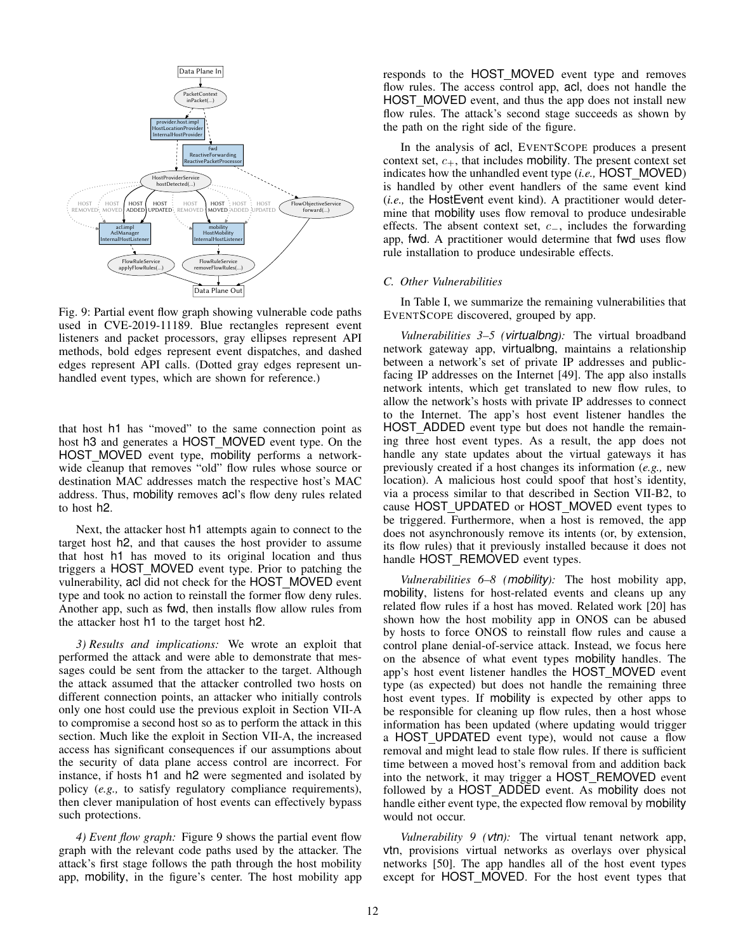

Fig. 9: Partial event flow graph showing vulnerable code paths used in CVE-2019-11189. Blue rectangles represent event listeners and packet processors, gray ellipses represent API methods, bold edges represent event dispatches, and dashed edges represent API calls. (Dotted gray edges represent unhandled event types, which are shown for reference.)

that host h1 has "moved" to the same connection point as host h3 and generates a HOST MOVED event type. On the HOST MOVED event type, mobility performs a networkwide cleanup that removes "old" flow rules whose source or destination MAC addresses match the respective host's MAC address. Thus, mobility removes acl's flow deny rules related to host h2.

Next, the attacker host h1 attempts again to connect to the target host h2, and that causes the host provider to assume that host h1 has moved to its original location and thus triggers a HOST MOVED event type. Prior to patching the vulnerability, acl did not check for the HOST MOVED event type and took no action to reinstall the former flow deny rules. Another app, such as fwd, then installs flow allow rules from the attacker host h1 to the target host h2.

*3) Results and implications:* We wrote an exploit that performed the attack and were able to demonstrate that messages could be sent from the attacker to the target. Although the attack assumed that the attacker controlled two hosts on different connection points, an attacker who initially controls only one host could use the previous exploit in Section VII-A to compromise a second host so as to perform the attack in this section. Much like the exploit in Section VII-A, the increased access has significant consequences if our assumptions about the security of data plane access control are incorrect. For instance, if hosts h1 and h2 were segmented and isolated by policy (*e.g.,* to satisfy regulatory compliance requirements), then clever manipulation of host events can effectively bypass such protections.

*4) Event flow graph:* Figure 9 shows the partial event flow graph with the relevant code paths used by the attacker. The attack's first stage follows the path through the host mobility app, mobility, in the figure's center. The host mobility app responds to the HOST MOVED event type and removes flow rules. The access control app, acl, does not handle the HOST MOVED event, and thus the app does not install new flow rules. The attack's second stage succeeds as shown by the path on the right side of the figure.

In the analysis of acl, EVENTSCOPE produces a present context set,  $c_{+}$ , that includes mobility. The present context set indicates how the unhandled event type (*i.e.,* HOST MOVED) is handled by other event handlers of the same event kind (*i.e.,* the HostEvent event kind). A practitioner would determine that mobility uses flow removal to produce undesirable effects. The absent context set, c−, includes the forwarding app, fwd. A practitioner would determine that fwd uses flow rule installation to produce undesirable effects.

#### *C. Other Vulnerabilities*

In Table I, we summarize the remaining vulnerabilities that EVENTSCOPE discovered, grouped by app.

*Vulnerabilities 3–5 (virtualbng):* The virtual broadband network gateway app, virtualbng, maintains a relationship between a network's set of private IP addresses and publicfacing IP addresses on the Internet [49]. The app also installs network intents, which get translated to new flow rules, to allow the network's hosts with private IP addresses to connect to the Internet. The app's host event listener handles the HOST ADDED event type but does not handle the remaining three host event types. As a result, the app does not handle any state updates about the virtual gateways it has previously created if a host changes its information (*e.g.,* new location). A malicious host could spoof that host's identity, via a process similar to that described in Section VII-B2, to cause HOST\_UPDATED or HOST\_MOVED event types to be triggered. Furthermore, when a host is removed, the app does not asynchronously remove its intents (or, by extension, its flow rules) that it previously installed because it does not handle HOST\_REMOVED event types.

*Vulnerabilities 6–8 (mobility):* The host mobility app, mobility, listens for host-related events and cleans up any related flow rules if a host has moved. Related work [20] has shown how the host mobility app in ONOS can be abused by hosts to force ONOS to reinstall flow rules and cause a control plane denial-of-service attack. Instead, we focus here on the absence of what event types mobility handles. The app's host event listener handles the HOST MOVED event type (as expected) but does not handle the remaining three host event types. If mobility is expected by other apps to be responsible for cleaning up flow rules, then a host whose information has been updated (where updating would trigger a HOST UPDATED event type), would not cause a flow removal and might lead to stale flow rules. If there is sufficient time between a moved host's removal from and addition back into the network, it may trigger a HOST\_REMOVED event followed by a HOST ADDED event. As mobility does not handle either event type, the expected flow removal by mobility would not occur.

*Vulnerability 9 (vtn):* The virtual tenant network app, vtn, provisions virtual networks as overlays over physical networks [50]. The app handles all of the host event types except for HOST\_MOVED. For the host event types that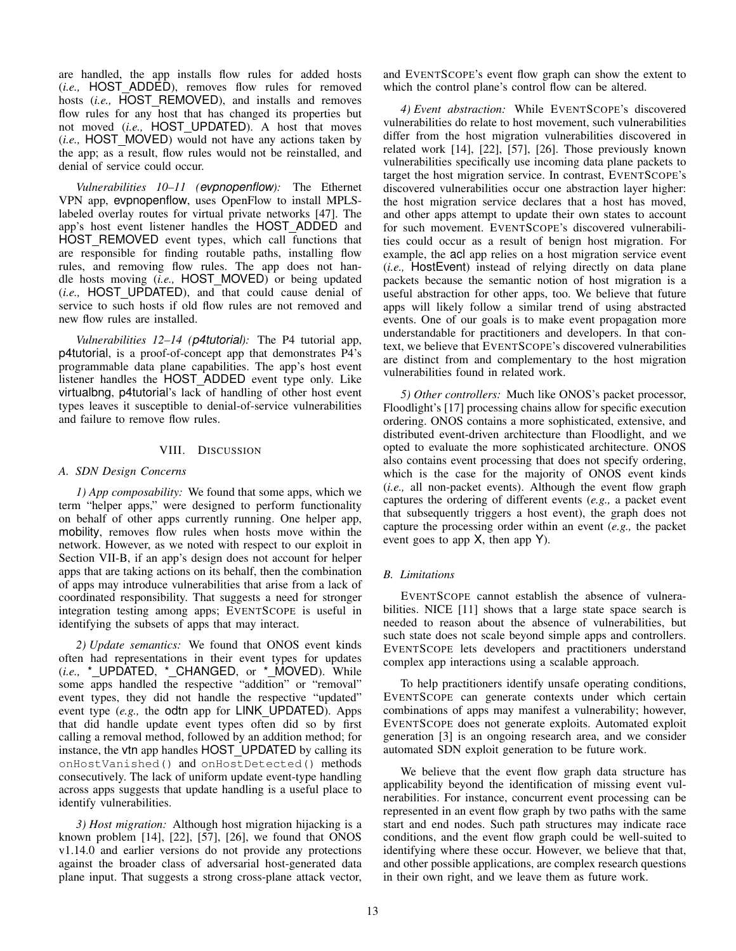are handled, the app installs flow rules for added hosts (*i.e.,* HOST ADDED), removes flow rules for removed hosts (*i.e.,* HOST REMOVED), and installs and removes flow rules for any host that has changed its properties but not moved (*i.e.,* HOST UPDATED). A host that moves (*i.e.,* HOST MOVED) would not have any actions taken by the app; as a result, flow rules would not be reinstalled, and denial of service could occur.

*Vulnerabilities 10–11 (evpnopenflow):* The Ethernet VPN app, evpnopenflow, uses OpenFlow to install MPLSlabeled overlay routes for virtual private networks [47]. The app's host event listener handles the HOST ADDED and HOST REMOVED event types, which call functions that are responsible for finding routable paths, installing flow rules, and removing flow rules. The app does not handle hosts moving (*i.e.,* HOST MOVED) or being updated (*i.e.,* HOST UPDATED), and that could cause denial of service to such hosts if old flow rules are not removed and new flow rules are installed.

*Vulnerabilities 12–14 (p4tutorial):* The P4 tutorial app, p4tutorial, is a proof-of-concept app that demonstrates P4's programmable data plane capabilities. The app's host event listener handles the HOST ADDED event type only. Like virtualbng, p4tutorial's lack of handling of other host event types leaves it susceptible to denial-of-service vulnerabilities and failure to remove flow rules.

#### VIII. DISCUSSION

#### *A. SDN Design Concerns*

*1) App composability:* We found that some apps, which we term "helper apps," were designed to perform functionality on behalf of other apps currently running. One helper app, mobility, removes flow rules when hosts move within the network. However, as we noted with respect to our exploit in Section VII-B, if an app's design does not account for helper apps that are taking actions on its behalf, then the combination of apps may introduce vulnerabilities that arise from a lack of coordinated responsibility. That suggests a need for stronger integration testing among apps; EVENTSCOPE is useful in identifying the subsets of apps that may interact.

*2) Update semantics:* We found that ONOS event kinds often had representations in their event types for updates (*i.e.*, \*\_UPDATED, \*\_CHANGED, or \*\_MOVED). While some apps handled the respective "addition" or "removal" event types, they did not handle the respective "updated" event type (*e.g.*, the odtn app for LINK\_UPDATED). Apps that did handle update event types often did so by first calling a removal method, followed by an addition method; for instance, the vtn app handles HOST UPDATED by calling its onHostVanished() and onHostDetected() methods consecutively. The lack of uniform update event-type handling across apps suggests that update handling is a useful place to identify vulnerabilities.

*3) Host migration:* Although host migration hijacking is a known problem  $[14]$ ,  $[22]$ ,  $[57]$ ,  $[26]$ , we found that ONOS v1.14.0 and earlier versions do not provide any protections against the broader class of adversarial host-generated data plane input. That suggests a strong cross-plane attack vector, and EVENTSCOPE's event flow graph can show the extent to which the control plane's control flow can be altered.

*4) Event abstraction:* While EVENTSCOPE's discovered vulnerabilities do relate to host movement, such vulnerabilities differ from the host migration vulnerabilities discovered in related work [14], [22], [57], [26]. Those previously known vulnerabilities specifically use incoming data plane packets to target the host migration service. In contrast, EVENTSCOPE's discovered vulnerabilities occur one abstraction layer higher: the host migration service declares that a host has moved, and other apps attempt to update their own states to account for such movement. EVENTSCOPE's discovered vulnerabilities could occur as a result of benign host migration. For example, the acl app relies on a host migration service event (*i.e.,* HostEvent) instead of relying directly on data plane packets because the semantic notion of host migration is a useful abstraction for other apps, too. We believe that future apps will likely follow a similar trend of using abstracted events. One of our goals is to make event propagation more understandable for practitioners and developers. In that context, we believe that EVENTSCOPE's discovered vulnerabilities are distinct from and complementary to the host migration vulnerabilities found in related work.

*5) Other controllers:* Much like ONOS's packet processor, Floodlight's [17] processing chains allow for specific execution ordering. ONOS contains a more sophisticated, extensive, and distributed event-driven architecture than Floodlight, and we opted to evaluate the more sophisticated architecture. ONOS also contains event processing that does not specify ordering, which is the case for the majority of ONOS event kinds (*i.e.,* all non-packet events). Although the event flow graph captures the ordering of different events (*e.g.,* a packet event that subsequently triggers a host event), the graph does not capture the processing order within an event (*e.g.,* the packet event goes to app X, then app Y).

## *B. Limitations*

EVENTSCOPE cannot establish the absence of vulnerabilities. NICE [11] shows that a large state space search is needed to reason about the absence of vulnerabilities, but such state does not scale beyond simple apps and controllers. EVENTSCOPE lets developers and practitioners understand complex app interactions using a scalable approach.

To help practitioners identify unsafe operating conditions, EVENTSCOPE can generate contexts under which certain combinations of apps may manifest a vulnerability; however, EVENTSCOPE does not generate exploits. Automated exploit generation [3] is an ongoing research area, and we consider automated SDN exploit generation to be future work.

We believe that the event flow graph data structure has applicability beyond the identification of missing event vulnerabilities. For instance, concurrent event processing can be represented in an event flow graph by two paths with the same start and end nodes. Such path structures may indicate race conditions, and the event flow graph could be well-suited to identifying where these occur. However, we believe that that, and other possible applications, are complex research questions in their own right, and we leave them as future work.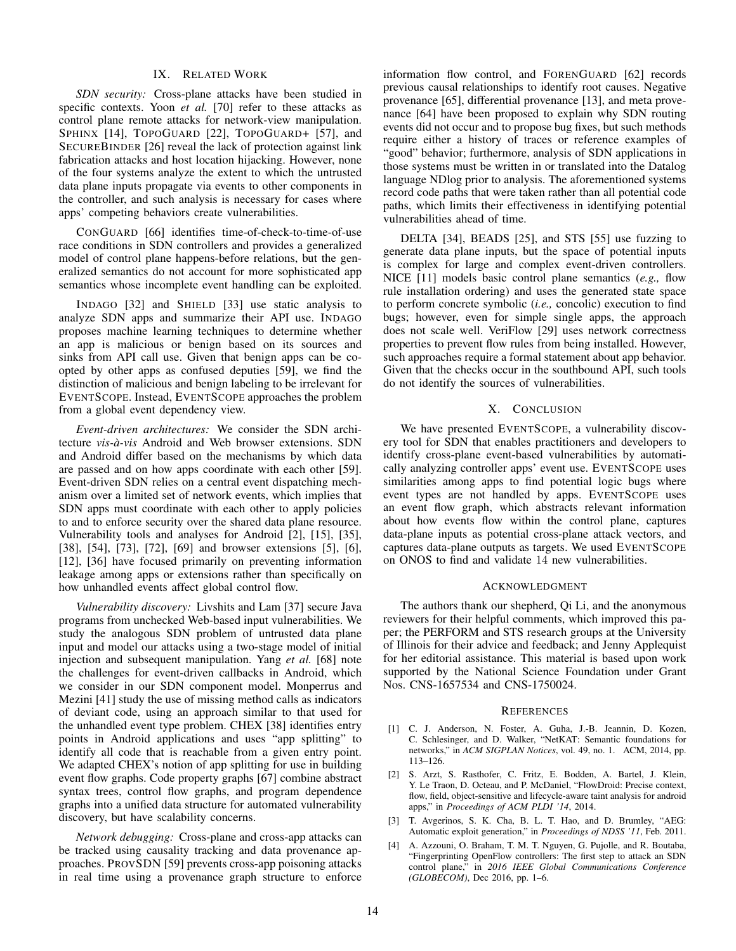## IX. RELATED WORK

*SDN security:* Cross-plane attacks have been studied in specific contexts. Yoon *et al.* [70] refer to these attacks as control plane remote attacks for network-view manipulation. SPHINX [14], TOPOGUARD [22], TOPOGUARD+ [57], and SECUREBINDER [26] reveal the lack of protection against link fabrication attacks and host location hijacking. However, none of the four systems analyze the extent to which the untrusted data plane inputs propagate via events to other components in the controller, and such analysis is necessary for cases where apps' competing behaviors create vulnerabilities.

CONGUARD [66] identifies time-of-check-to-time-of-use race conditions in SDN controllers and provides a generalized model of control plane happens-before relations, but the generalized semantics do not account for more sophisticated app semantics whose incomplete event handling can be exploited.

INDAGO [32] and SHIELD [33] use static analysis to analyze SDN apps and summarize their API use. INDAGO proposes machine learning techniques to determine whether an app is malicious or benign based on its sources and sinks from API call use. Given that benign apps can be coopted by other apps as confused deputies [59], we find the distinction of malicious and benign labeling to be irrelevant for EVENTSCOPE. Instead, EVENTSCOPE approaches the problem from a global event dependency view.

*Event-driven architectures:* We consider the SDN architecture *vis-a-vis `* Android and Web browser extensions. SDN and Android differ based on the mechanisms by which data are passed and on how apps coordinate with each other [59]. Event-driven SDN relies on a central event dispatching mechanism over a limited set of network events, which implies that SDN apps must coordinate with each other to apply policies to and to enforce security over the shared data plane resource. Vulnerability tools and analyses for Android [2], [15], [35], [38], [54], [73], [72], [69] and browser extensions [5], [6], [12], [36] have focused primarily on preventing information leakage among apps or extensions rather than specifically on how unhandled events affect global control flow.

*Vulnerability discovery:* Livshits and Lam [37] secure Java programs from unchecked Web-based input vulnerabilities. We study the analogous SDN problem of untrusted data plane input and model our attacks using a two-stage model of initial injection and subsequent manipulation. Yang *et al.* [68] note the challenges for event-driven callbacks in Android, which we consider in our SDN component model. Monperrus and Mezini [41] study the use of missing method calls as indicators of deviant code, using an approach similar to that used for the unhandled event type problem. CHEX [38] identifies entry points in Android applications and uses "app splitting" to identify all code that is reachable from a given entry point. We adapted CHEX's notion of app splitting for use in building event flow graphs. Code property graphs [67] combine abstract syntax trees, control flow graphs, and program dependence graphs into a unified data structure for automated vulnerability discovery, but have scalability concerns.

*Network debugging:* Cross-plane and cross-app attacks can be tracked using causality tracking and data provenance approaches. PROVSDN [59] prevents cross-app poisoning attacks in real time using a provenance graph structure to enforce information flow control, and FORENGUARD [62] records previous causal relationships to identify root causes. Negative provenance [65], differential provenance [13], and meta provenance [64] have been proposed to explain why SDN routing events did not occur and to propose bug fixes, but such methods require either a history of traces or reference examples of "good" behavior; furthermore, analysis of SDN applications in those systems must be written in or translated into the Datalog language NDlog prior to analysis. The aforementioned systems record code paths that were taken rather than all potential code paths, which limits their effectiveness in identifying potential vulnerabilities ahead of time.

DELTA [34], BEADS [25], and STS [55] use fuzzing to generate data plane inputs, but the space of potential inputs is complex for large and complex event-driven controllers. NICE [11] models basic control plane semantics (*e.g.,* flow rule installation ordering) and uses the generated state space to perform concrete symbolic (*i.e.,* concolic) execution to find bugs; however, even for simple single apps, the approach does not scale well. VeriFlow [29] uses network correctness properties to prevent flow rules from being installed. However, such approaches require a formal statement about app behavior. Given that the checks occur in the southbound API, such tools do not identify the sources of vulnerabilities.

# X. CONCLUSION

We have presented EVENTSCOPE, a vulnerability discovery tool for SDN that enables practitioners and developers to identify cross-plane event-based vulnerabilities by automatically analyzing controller apps' event use. EVENTSCOPE uses similarities among apps to find potential logic bugs where event types are not handled by apps. EVENTSCOPE uses an event flow graph, which abstracts relevant information about how events flow within the control plane, captures data-plane inputs as potential cross-plane attack vectors, and captures data-plane outputs as targets. We used EVENTSCOPE on ONOS to find and validate 14 new vulnerabilities.

#### ACKNOWLEDGMENT

The authors thank our shepherd, Qi Li, and the anonymous reviewers for their helpful comments, which improved this paper; the PERFORM and STS research groups at the University of Illinois for their advice and feedback; and Jenny Applequist for her editorial assistance. This material is based upon work supported by the National Science Foundation under Grant Nos. CNS-1657534 and CNS-1750024.

#### **REFERENCES**

- [1] C. J. Anderson, N. Foster, A. Guha, J.-B. Jeannin, D. Kozen, C. Schlesinger, and D. Walker, "NetKAT: Semantic foundations for networks," in *ACM SIGPLAN Notices*, vol. 49, no. 1. ACM, 2014, pp. 113–126.
- [2] S. Arzt, S. Rasthofer, C. Fritz, E. Bodden, A. Bartel, J. Klein, Y. Le Traon, D. Octeau, and P. McDaniel, "FlowDroid: Precise context, flow, field, object-sensitive and lifecycle-aware taint analysis for android apps," in *Proceedings of ACM PLDI '14*, 2014.
- [3] T. Avgerinos, S. K. Cha, B. L. T. Hao, and D. Brumley, "AEG: Automatic exploit generation," in *Proceedings of NDSS '11*, Feb. 2011.
- [4] A. Azzouni, O. Braham, T. M. T. Nguyen, G. Pujolle, and R. Boutaba, "Fingerprinting OpenFlow controllers: The first step to attack an SDN control plane," in *2016 IEEE Global Communications Conference (GLOBECOM)*, Dec 2016, pp. 1–6.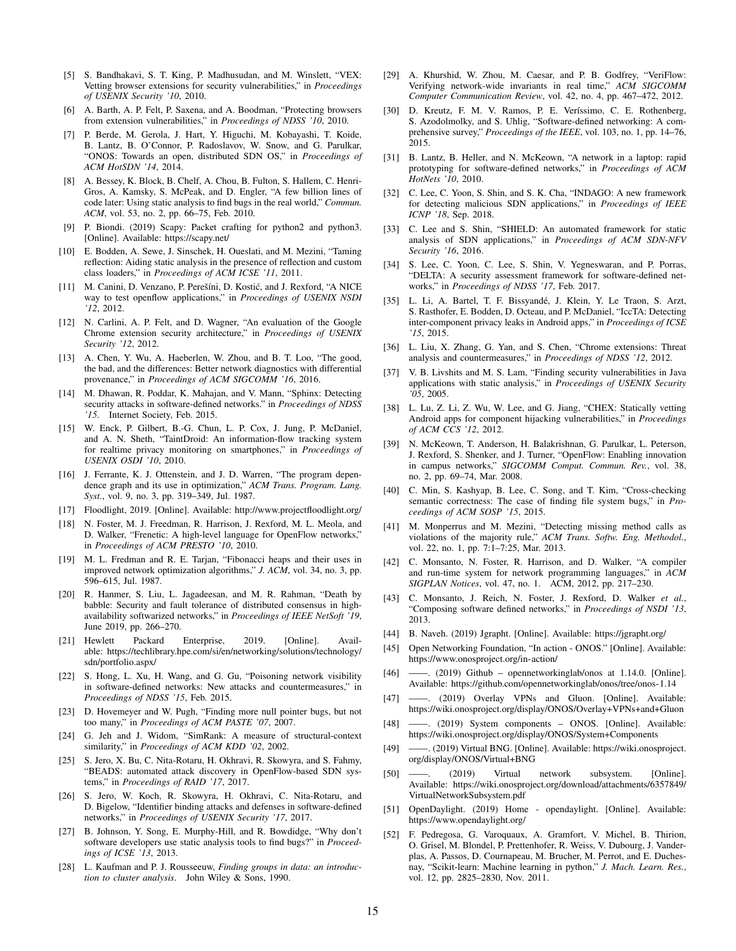- [5] S. Bandhakavi, S. T. King, P. Madhusudan, and M. Winslett, "VEX: Vetting browser extensions for security vulnerabilities," in *Proceedings of USENIX Security '10*, 2010.
- [6] A. Barth, A. P. Felt, P. Saxena, and A. Boodman, "Protecting browsers from extension vulnerabilities," in *Proceedings of NDSS '10*, 2010.
- [7] P. Berde, M. Gerola, J. Hart, Y. Higuchi, M. Kobayashi, T. Koide, B. Lantz, B. O'Connor, P. Radoslavov, W. Snow, and G. Parulkar, "ONOS: Towards an open, distributed SDN OS," in *Proceedings of ACM HotSDN '14*, 2014.
- [8] A. Bessey, K. Block, B. Chelf, A. Chou, B. Fulton, S. Hallem, C. Henri-Gros, A. Kamsky, S. McPeak, and D. Engler, "A few billion lines of code later: Using static analysis to find bugs in the real world," *Commun. ACM*, vol. 53, no. 2, pp. 66–75, Feb. 2010.
- [9] P. Biondi. (2019) Scapy: Packet crafting for python2 and python3. [Online]. Available: https://scapy.net/
- [10] E. Bodden, A. Sewe, J. Sinschek, H. Oueslati, and M. Mezini, "Taming reflection: Aiding static analysis in the presence of reflection and custom class loaders," in *Proceedings of ACM ICSE '11*, 2011.
- [11] M. Canini, D. Venzano, P. Perešíni, D. Kostić, and J. Rexford, "A NICE way to test openflow applications," in *Proceedings of USENIX NSDI '12*, 2012.
- [12] N. Carlini, A. P. Felt, and D. Wagner, "An evaluation of the Google Chrome extension security architecture," in *Proceedings of USENIX Security '12*, 2012.
- [13] A. Chen, Y. Wu, A. Haeberlen, W. Zhou, and B. T. Loo, "The good, the bad, and the differences: Better network diagnostics with differential provenance," in *Proceedings of ACM SIGCOMM '16*, 2016.
- [14] M. Dhawan, R. Poddar, K. Mahajan, and V. Mann, "Sphinx: Detecting security attacks in software-defined networks." in *Proceedings of NDSS '15*. Internet Society, Feb. 2015.
- [15] W. Enck, P. Gilbert, B.-G. Chun, L. P. Cox, J. Jung, P. McDaniel, and A. N. Sheth, "TaintDroid: An information-flow tracking system for realtime privacy monitoring on smartphones," in *Proceedings of USENIX OSDI '10*, 2010.
- [16] J. Ferrante, K. J. Ottenstein, and J. D. Warren, "The program dependence graph and its use in optimization," *ACM Trans. Program. Lang. Syst.*, vol. 9, no. 3, pp. 319–349, Jul. 1987.
- [17] Floodlight, 2019. [Online]. Available: http://www.projectfloodlight.org/
- [18] N. Foster, M. J. Freedman, R. Harrison, J. Rexford, M. L. Meola, and D. Walker, "Frenetic: A high-level language for OpenFlow networks," in *Proceedings of ACM PRESTO '10*, 2010.
- [19] M. L. Fredman and R. E. Tarjan, "Fibonacci heaps and their uses in improved network optimization algorithms," *J. ACM*, vol. 34, no. 3, pp. 596–615, Jul. 1987.
- [20] R. Hanmer, S. Liu, L. Jagadeesan, and M. R. Rahman, "Death by babble: Security and fault tolerance of distributed consensus in highavailability softwarized networks," in *Proceedings of IEEE NetSoft '19*, June 2019, pp. 266–270.
- [21] Hewlett Packard Enterprise, 2019. [Online]. Available: https://techlibrary.hpe.com/si/en/networking/solutions/technology/ sdn/portfolio.aspx/
- [22] S. Hong, L. Xu, H. Wang, and G. Gu, "Poisoning network visibility in software-defined networks: New attacks and countermeasures," in *Proceedings of NDSS '15*, Feb. 2015.
- [23] D. Hovemeyer and W. Pugh, "Finding more null pointer bugs, but not too many," in *Proceedings of ACM PASTE '07*, 2007.
- [24] G. Jeh and J. Widom, "SimRank: A measure of structural-context similarity," in *Proceedings of ACM KDD '02*, 2002.
- [25] S. Jero, X. Bu, C. Nita-Rotaru, H. Okhravi, R. Skowyra, and S. Fahmy, "BEADS: automated attack discovery in OpenFlow-based SDN systems," in *Proceedings of RAID '17*, 2017.
- [26] S. Jero, W. Koch, R. Skowyra, H. Okhravi, C. Nita-Rotaru, and D. Bigelow, "Identifier binding attacks and defenses in software-defined networks," in *Proceedings of USENIX Security '17*, 2017.
- [27] B. Johnson, Y. Song, E. Murphy-Hill, and R. Bowdidge, "Why don't software developers use static analysis tools to find bugs?" in *Proceedings of ICSE '13*, 2013.
- [28] L. Kaufman and P. J. Rousseeuw, *Finding groups in data: an introduction to cluster analysis*. John Wiley & Sons, 1990.
- [29] A. Khurshid, W. Zhou, M. Caesar, and P. B. Godfrey, "VeriFlow: Verifying network-wide invariants in real time," *ACM SIGCOMM Computer Communication Review*, vol. 42, no. 4, pp. 467–472, 2012.
- [30] D. Kreutz, F. M. V. Ramos, P. E. Veríssimo, C. E. Rothenberg, S. Azodolmolky, and S. Uhlig, "Software-defined networking: A comprehensive survey," *Proceedings of the IEEE*, vol. 103, no. 1, pp. 14–76, 2015.
- [31] B. Lantz, B. Heller, and N. McKeown, "A network in a laptop: rapid prototyping for software-defined networks," in *Proceedings of ACM HotNets '10*, 2010.
- [32] C. Lee, C. Yoon, S. Shin, and S. K. Cha, "INDAGO: A new framework for detecting malicious SDN applications," in *Proceedings of IEEE ICNP '18*, Sep. 2018.
- [33] C. Lee and S. Shin, "SHIELD: An automated framework for static analysis of SDN applications," in *Proceedings of ACM SDN-NFV Security '16*, 2016.
- [34] S. Lee, C. Yoon, C. Lee, S. Shin, V. Yegneswaran, and P. Porras, "DELTA: A security assessment framework for software-defined networks," in *Proceedings of NDSS '17*, Feb. 2017.
- [35] L. Li, A. Bartel, T. F. Bissyandé, J. Klein, Y. Le Traon, S. Arzt, S. Rasthofer, E. Bodden, D. Octeau, and P. McDaniel, "IccTA: Detecting inter-component privacy leaks in Android apps," in *Proceedings of ICSE '15*, 2015.
- [36] L. Liu, X. Zhang, G. Yan, and S. Chen, "Chrome extensions: Threat analysis and countermeasures," in *Proceedings of NDSS '12*, 2012.
- [37] V. B. Livshits and M. S. Lam, "Finding security vulnerabilities in Java applications with static analysis," in *Proceedings of USENIX Security '05*, 2005.
- [38] L. Lu, Z. Li, Z. Wu, W. Lee, and G. Jiang, "CHEX: Statically vetting Android apps for component hijacking vulnerabilities," in *Proceedings of ACM CCS '12*, 2012.
- [39] N. McKeown, T. Anderson, H. Balakrishnan, G. Parulkar, L. Peterson, J. Rexford, S. Shenker, and J. Turner, "OpenFlow: Enabling innovation in campus networks," *SIGCOMM Comput. Commun. Rev.*, vol. 38, no. 2, pp. 69–74, Mar. 2008.
- [40] C. Min, S. Kashyap, B. Lee, C. Song, and T. Kim, "Cross-checking semantic correctness: The case of finding file system bugs," in *Proceedings of ACM SOSP '15*, 2015.
- [41] M. Monperrus and M. Mezini, "Detecting missing method calls as violations of the majority rule," *ACM Trans. Softw. Eng. Methodol.*, vol. 22, no. 1, pp. 7:1–7:25, Mar. 2013.
- [42] C. Monsanto, N. Foster, R. Harrison, and D. Walker, "A compiler and run-time system for network programming languages," in *ACM SIGPLAN Notices*, vol. 47, no. 1. ACM, 2012, pp. 217–230.
- [43] C. Monsanto, J. Reich, N. Foster, J. Rexford, D. Walker *et al.*, "Composing software defined networks," in *Proceedings of NSDI '13*, 2013.
- [44] B. Naveh. (2019) Jgrapht. [Online]. Available: https://jgrapht.org/
- [45] Open Networking Foundation, "In action ONOS." [Online]. Available: https://www.onosproject.org/in-action/
- [46] ——. (2019) Github opennetworkinglab/onos at 1.14.0. [Online]. Available: https://github.com/opennetworkinglab/onos/tree/onos-1.14
- [47] ——. (2019) Overlay VPNs and Gluon. [Online]. Available: https://wiki.onosproject.org/display/ONOS/Overlay+VPNs+and+Gluon
- [48] ——. (2019) System components ONOS. [Online]. Available: https://wiki.onosproject.org/display/ONOS/System+Components
- [49] ——. (2019) Virtual BNG. [Online]. Available: https://wiki.onosproject. org/display/ONOS/Virtual+BNG
- [50] ——. (2019) Virtual network subsystem. [Online]. Available: https://wiki.onosproject.org/download/attachments/6357849/ VirtualNetworkSubsystem.pdf
- [51] OpenDaylight. (2019) Home opendaylight. [Online]. Available: https://www.opendaylight.org/
- [52] F. Pedregosa, G. Varoquaux, A. Gramfort, V. Michel, B. Thirion, O. Grisel, M. Blondel, P. Prettenhofer, R. Weiss, V. Dubourg, J. Vanderplas, A. Passos, D. Cournapeau, M. Brucher, M. Perrot, and E. Duchesnay, "Scikit-learn: Machine learning in python," *J. Mach. Learn. Res.*, vol. 12, pp. 2825–2830, Nov. 2011.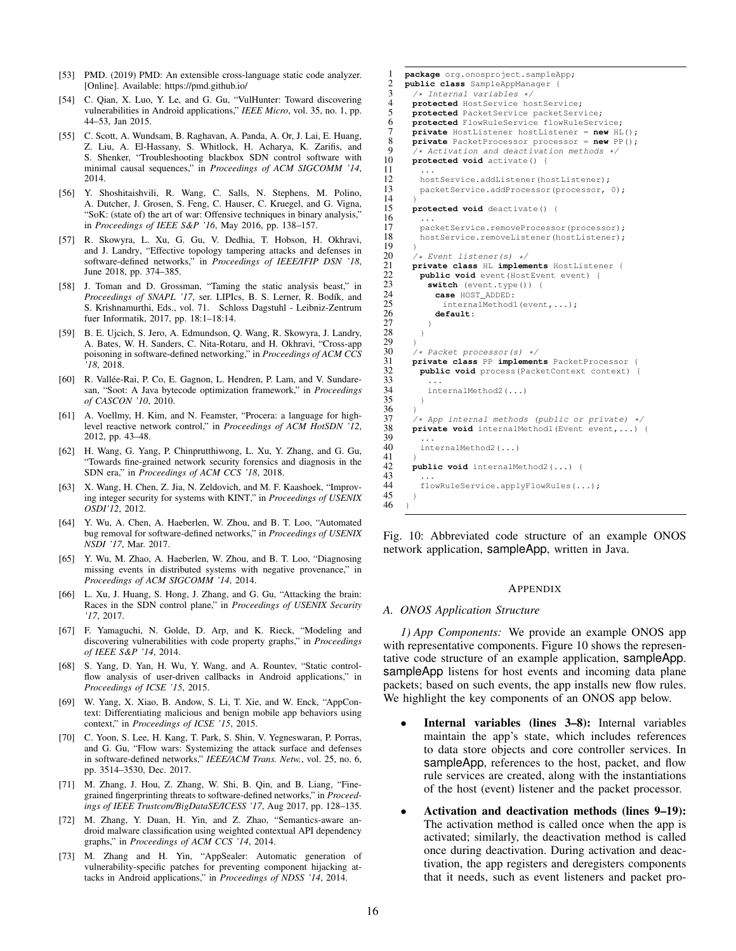- [53] PMD. (2019) PMD: An extensible cross-language static code analyzer. [Online]. Available: https://pmd.github.io/
- [54] C. Qian, X. Luo, Y. Le, and G. Gu, "VulHunter: Toward discovering vulnerabilities in Android applications," *IEEE Micro*, vol. 35, no. 1, pp. 44–53, Jan 2015.
- [55] C. Scott, A. Wundsam, B. Raghavan, A. Panda, A. Or, J. Lai, E. Huang, Z. Liu, A. El-Hassany, S. Whitlock, H. Acharya, K. Zarifis, and S. Shenker, "Troubleshooting blackbox SDN control software with minimal causal sequences," in *Proceedings of ACM SIGCOMM '14*, 2014.
- [56] Y. Shoshitaishvili, R. Wang, C. Salls, N. Stephens, M. Polino, A. Dutcher, J. Grosen, S. Feng, C. Hauser, C. Kruegel, and G. Vigna, "SoK: (state of) the art of war: Offensive techniques in binary analysis," in *Proceedings of IEEE S&P '16*, May 2016, pp. 138–157.
- [57] R. Skowyra, L. Xu, G. Gu, V. Dedhia, T. Hobson, H. Okhravi, and J. Landry, "Effective topology tampering attacks and defenses in software-defined networks," in *Proceedings of IEEE/IFIP DSN '18*, June 2018, pp. 374–385.
- [58] J. Toman and D. Grossman, "Taming the static analysis beast," in Proceedings of SNAPL '17, ser. LIPIcs, B. S. Lerner, R. Bodík, and S. Krishnamurthi, Eds., vol. 71. Schloss Dagstuhl - Leibniz-Zentrum fuer Informatik, 2017, pp. 18:1–18:14.
- [59] B. E. Ujcich, S. Jero, A. Edmundson, Q. Wang, R. Skowyra, J. Landry, A. Bates, W. H. Sanders, C. Nita-Rotaru, and H. Okhravi, "Cross-app poisoning in software-defined networking," in *Proceedings of ACM CCS '18*, 2018.
- [60] R. Vallée-Rai, P. Co, E. Gagnon, L. Hendren, P. Lam, and V. Sundaresan, "Soot: A Java bytecode optimization framework," in *Proceedings of CASCON '10*, 2010.
- [61] A. Voellmy, H. Kim, and N. Feamster, "Procera: a language for highlevel reactive network control," in *Proceedings of ACM HotSDN '12*, 2012, pp. 43–48.
- [62] H. Wang, G. Yang, P. Chinprutthiwong, L. Xu, Y. Zhang, and G. Gu, "Towards fine-grained network security forensics and diagnosis in the SDN era," in *Proceedings of ACM CCS '18*, 2018.
- [63] X. Wang, H. Chen, Z. Jia, N. Zeldovich, and M. F. Kaashoek, "Improving integer security for systems with KINT," in *Proceedings of USENIX OSDI'12*, 2012.
- [64] Y. Wu, A. Chen, A. Haeberlen, W. Zhou, and B. T. Loo, "Automated bug removal for software-defined networks," in *Proceedings of USENIX NSDI '17*, Mar. 2017.
- [65] Y. Wu, M. Zhao, A. Haeberlen, W. Zhou, and B. T. Loo, "Diagnosing missing events in distributed systems with negative provenance," in *Proceedings of ACM SIGCOMM '14*, 2014.
- [66] L. Xu, J. Huang, S. Hong, J. Zhang, and G. Gu, "Attacking the brain: Races in the SDN control plane," in *Proceedings of USENIX Security '17*, 2017.
- [67] F. Yamaguchi, N. Golde, D. Arp, and K. Rieck, "Modeling and discovering vulnerabilities with code property graphs," in *Proceedings of IEEE S&P '14*, 2014.
- [68] S. Yang, D. Yan, H. Wu, Y. Wang, and A. Rountev, "Static controlflow analysis of user-driven callbacks in Android applications," in *Proceedings of ICSE '15*, 2015.
- [69] W. Yang, X. Xiao, B. Andow, S. Li, T. Xie, and W. Enck, "AppContext: Differentiating malicious and benign mobile app behaviors using context," in *Proceedings of ICSE '15*, 2015.
- [70] C. Yoon, S. Lee, H. Kang, T. Park, S. Shin, V. Yegneswaran, P. Porras, and G. Gu, "Flow wars: Systemizing the attack surface and defenses in software-defined networks," *IEEE/ACM Trans. Netw.*, vol. 25, no. 6, pp. 3514–3530, Dec. 2017.
- [71] M. Zhang, J. Hou, Z. Zhang, W. Shi, B. Qin, and B. Liang, "Finegrained fingerprinting threats to software-defined networks," in *Proceedings of IEEE Trustcom/BigDataSE/ICESS '17*, Aug 2017, pp. 128–135.
- [72] M. Zhang, Y. Duan, H. Yin, and Z. Zhao, "Semantics-aware android malware classification using weighted contextual API dependency graphs," in *Proceedings of ACM CCS '14*, 2014.
- [73] M. Zhang and H. Yin, "AppSealer: Automatic generation of vulnerability-specific patches for preventing component hijacking attacks in Android applications," in *Proceedings of NDSS '14*, 2014.

```
1 package org.onosproject.sampleApp;
 2 public class SampleAppManager {
 3 /* Internal variables */<br>4 protected HostService ho
 4 protected HostService hostService;<br>5 protected PacketService packetServ
          protected PacketService packetService;
 6 protected FlowRuleService flowRuleService;<br>7 private HostListener hostListener = new HL
 7 private HostListener hostListener = new HL();
 8 private PacketProcessor processor = new PP();<br>9 \left(4.3 \text{cti} \times 10^{-3} \text{ m} \times \text{d} \times 10^{-3} \text{ m} \times \text{d} \times \text{d} \times \text{d} \times \text{d} \times \text{d} \times \text{d} \times \text{d} \times \text{d} \times \text{d} \times \text{d} \times \text{d} \times \text{d} \times \text{d} \times \text{d} \times \text{d} \times \text{d} \times \text{d} \times9 /* Activation and deactivation methods */<br>10 protected void activate() {
          10 protected void activate() {
\frac{11}{12}12 hostService.addListener(hostListener);<br>13 nacketService.addProcessor(processor
             packetService.addProcessor(processor, 0);
\frac{14}{15}15 protected void deactivate() {
\frac{16}{17}17 packetService.removeProcessor(processor);<br>18 hostService.removeListener(hostListener);
             nostService.removeListener(hostListener);
\frac{19}{20}20 \rightarrow Event listener(s) */<br>21 private class HL impleme
21 private class HL implements HostListener {<br>22 public void event (HostEvent event) {
22 public void event (HostEvent event) {<br>23 switch (event.type()) {
23 switch (event.type()) {<br>24 case HOST_ADDED:
24 case HOST_ADDED:
25 internalMethod1(event,...);<br>26 default:
                  26 default:
27 }
\begin{matrix} 28 & & & \ & 29 & & \ & & \ \end{matrix}29 }
30 /* Packet processor(s) */<br>31 private class PP implement
31 private class PP implements PacketProcessor {<br>32 public void process (PacketContext context)
            public void process (PacketContext context) {
33<br>34
             internalMethod2(\ldots)35 }
36 }
37 /* App internal methods (public or private) */<br>38 private void internalMethodl (Event event,...)
          private void internalMethod1(Event event, ...) {
39<br>40
             internalMethod2(...)
41<br>42
          42 public void internalMethod2(...) {
43<br>44
          flowRuleService.applyFlowRules(...);
4546 \rightarrow
```
Fig. 10: Abbreviated code structure of an example ONOS network application, sampleApp, written in Java.

#### APPENDIX

#### *A. ONOS Application Structure*

*1) App Components:* We provide an example ONOS app with representative components. Figure 10 shows the representative code structure of an example application, sampleApp. sampleApp listens for host events and incoming data plane packets; based on such events, the app installs new flow rules. We highlight the key components of an ONOS app below.

- Internal variables (lines 3–8): Internal variables maintain the app's state, which includes references to data store objects and core controller services. In sampleApp, references to the host, packet, and flow rule services are created, along with the instantiations of the host (event) listener and the packet processor.
- Activation and deactivation methods (lines 9–19): The activation method is called once when the app is activated; similarly, the deactivation method is called once during deactivation. During activation and deactivation, the app registers and deregisters components that it needs, such as event listeners and packet pro-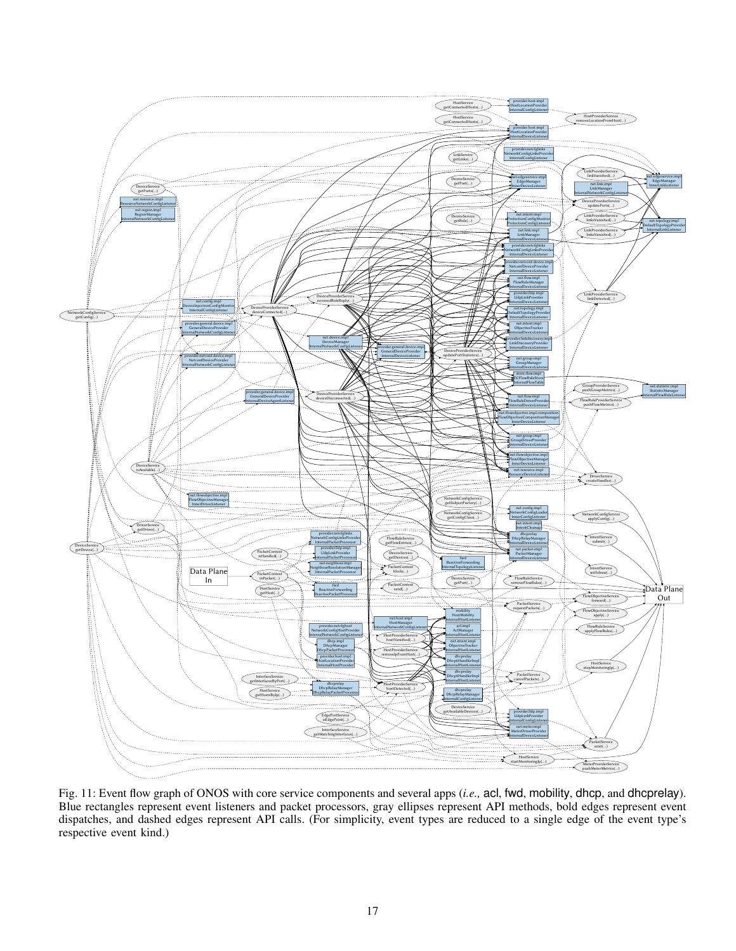

Fig. 11: Event flow graph of ONOS with core service components and several apps (*i.e.,* acl, fwd, mobility, dhcp, and dhcprelay). Blue rectangles represent event listeners and packet processors, gray ellipses represent API methods, bold edges represent event dispatches, and dashed edges represent API calls. (For simplicity, event types are reduced to a single edge of the event type's respective event kind.)